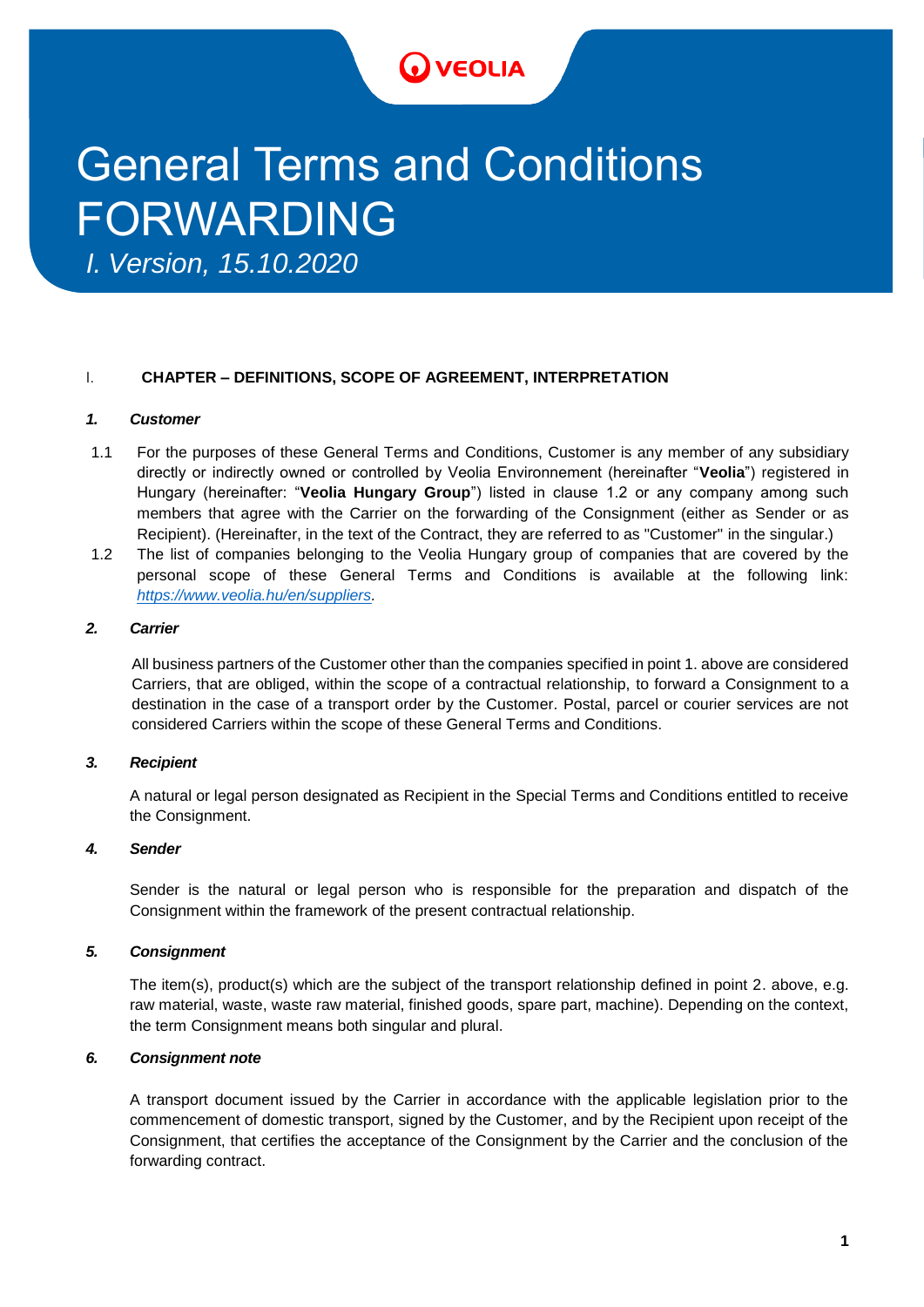## **VEOLIA**

# General Terms and Conditions FORWARDING

*I. Version, 15.10.2020*

## I. **CHAPTER – DEFINITIONS, SCOPE OF AGREEMENT, INTERPRETATION**

## *1. Customer*

- 1.1 For the purposes of these General Terms and Conditions, Customer is any member of any subsidiary directly or indirectly owned or controlled by Veolia Environnement (hereinafter "**Veolia**") registered in Hungary (hereinafter: "**Veolia Hungary Group**") listed in clause 1.2 or any company among such members that agree with the Carrier on the forwarding of the Consignment (either as Sender or as Recipient). (Hereinafter, in the text of the Contract, they are referred to as "Customer" in the singular.)
- 1.2 The list of companies belonging to the Veolia Hungary group of companies that are covered by the personal scope of these General Terms and Conditions is available at the following link: *[https://www.veolia.hu/en/suppliers.](https://www.veolia.hu/en/suppliers)*

## *2. Carrier*

All business partners of the Customer other than the companies specified in point 1. above are considered Carriers, that are obliged, within the scope of a contractual relationship, to forward a Consignment to a destination in the case of a transport order by the Customer. Postal, parcel or courier services are not considered Carriers within the scope of these General Terms and Conditions.

## *3. Recipient*

A natural or legal person designated as Recipient in the Special Terms and Conditions entitled to receive the Consignment.

## *4. Sender*

Sender is the natural or legal person who is responsible for the preparation and dispatch of the Consignment within the framework of the present contractual relationship.

## *5. Consignment*

The item(s), product(s) which are the subject of the transport relationship defined in point 2. above, e.g. raw material, waste, waste raw material, finished goods, spare part, machine). Depending on the context, the term Consignment means both singular and plural.

## *6. Consignment note*

A transport document issued by the Carrier in accordance with the applicable legislation prior to the commencement of domestic transport, signed by the Customer, and by the Recipient upon receipt of the Consignment, that certifies the acceptance of the Consignment by the Carrier and the conclusion of the forwarding contract.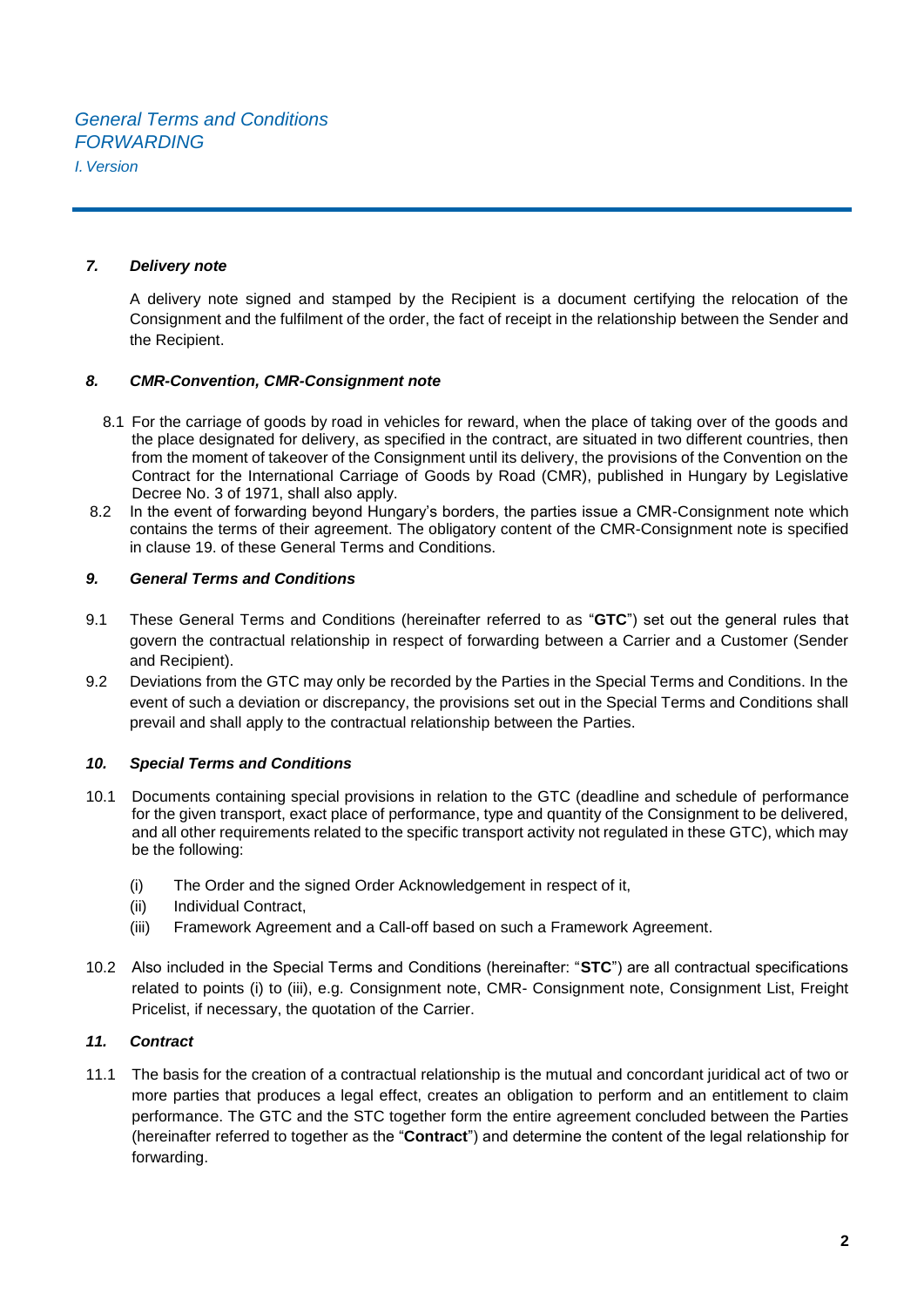#### *7. Delivery note*

A delivery note signed and stamped by the Recipient is a document certifying the relocation of the Consignment and the fulfilment of the order, the fact of receipt in the relationship between the Sender and the Recipient.

#### *8. CMR-Convention, CMR-Consignment note*

- 8.1 For the carriage of goods by road in vehicles for reward, when the place of taking over of the goods and the place designated for delivery, as specified in the contract, are situated in two different countries, then from the moment of takeover of the Consignment until its delivery, the provisions of the Convention on the Contract for the International Carriage of Goods by Road (CMR), published in Hungary by Legislative Decree No. 3 of 1971, shall also apply.
- 8.2 In the event of forwarding beyond Hungary's borders, the parties issue a CMR-Consignment note which contains the terms of their agreement. The obligatory content of the CMR-Consignment note is specified in clause 19. of these General Terms and Conditions.

#### *9. General Terms and Conditions*

- 9.1 These General Terms and Conditions (hereinafter referred to as "**GTC**") set out the general rules that govern the contractual relationship in respect of forwarding between a Carrier and a Customer (Sender and Recipient).
- 9.2 Deviations from the GTC may only be recorded by the Parties in the Special Terms and Conditions. In the event of such a deviation or discrepancy, the provisions set out in the Special Terms and Conditions shall prevail and shall apply to the contractual relationship between the Parties.

## *10. Special Terms and Conditions*

- 10.1 Documents containing special provisions in relation to the GTC (deadline and schedule of performance for the given transport, exact place of performance, type and quantity of the Consignment to be delivered, and all other requirements related to the specific transport activity not regulated in these GTC), which may be the following:
	- (i) The Order and the signed Order Acknowledgement in respect of it,
	- (ii) Individual Contract,
	- (iii) Framework Agreement and a Call-off based on such a Framework Agreement.
- 10.2 Also included in the Special Terms and Conditions (hereinafter: "**STC**") are all contractual specifications related to points (i) to (iii), e.g. Consignment note, CMR- Consignment note, Consignment List, Freight Pricelist, if necessary, the quotation of the Carrier.

#### *11. Contract*

11.1 The basis for the creation of a contractual relationship is the mutual and concordant juridical act of two or more parties that produces a legal effect, creates an obligation to perform and an entitlement to claim performance. The GTC and the STC together form the entire agreement concluded between the Parties (hereinafter referred to together as the "**Contract**") and determine the content of the legal relationship for forwarding.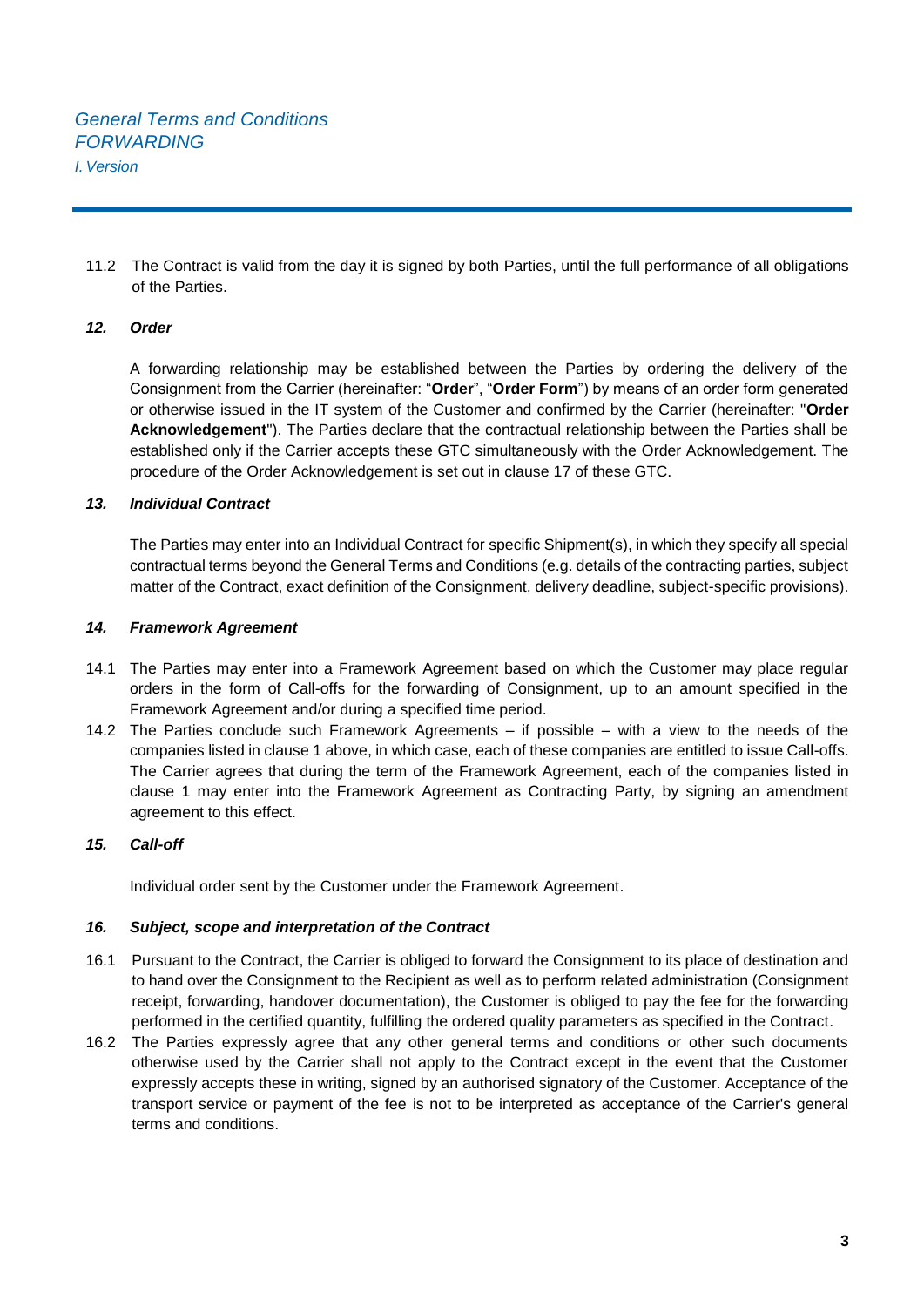11.2 The Contract is valid from the day it is signed by both Parties, until the full performance of all obligations of the Parties.

## *12. Order*

A forwarding relationship may be established between the Parties by ordering the delivery of the Consignment from the Carrier (hereinafter: "**Order**", "**Order Form**") by means of an order form generated or otherwise issued in the IT system of the Customer and confirmed by the Carrier (hereinafter: "**Order Acknowledgement**"). The Parties declare that the contractual relationship between the Parties shall be established only if the Carrier accepts these GTC simultaneously with the Order Acknowledgement. The procedure of the Order Acknowledgement is set out in clause 17 of these GTC.

## *13. Individual Contract*

The Parties may enter into an Individual Contract for specific Shipment(s), in which they specify all special contractual terms beyond the General Terms and Conditions (e.g. details of the contracting parties, subject matter of the Contract, exact definition of the Consignment, delivery deadline, subject-specific provisions).

## *14. Framework Agreement*

- 14.1 The Parties may enter into a Framework Agreement based on which the Customer may place regular orders in the form of Call-offs for the forwarding of Consignment, up to an amount specified in the Framework Agreement and/or during a specified time period.
- 14.2 The Parties conclude such Framework Agreements if possible with a view to the needs of the companies listed in clause 1 above, in which case, each of these companies are entitled to issue Call-offs. The Carrier agrees that during the term of the Framework Agreement, each of the companies listed in clause 1 may enter into the Framework Agreement as Contracting Party, by signing an amendment agreement to this effect.

## *15. Call-off*

Individual order sent by the Customer under the Framework Agreement.

## *16. Subject, scope and interpretation of the Contract*

- 16.1 Pursuant to the Contract, the Carrier is obliged to forward the Consignment to its place of destination and to hand over the Consignment to the Recipient as well as to perform related administration (Consignment receipt, forwarding, handover documentation), the Customer is obliged to pay the fee for the forwarding performed in the certified quantity, fulfilling the ordered quality parameters as specified in the Contract.
- 16.2 The Parties expressly agree that any other general terms and conditions or other such documents otherwise used by the Carrier shall not apply to the Contract except in the event that the Customer expressly accepts these in writing, signed by an authorised signatory of the Customer. Acceptance of the transport service or payment of the fee is not to be interpreted as acceptance of the Carrier's general terms and conditions.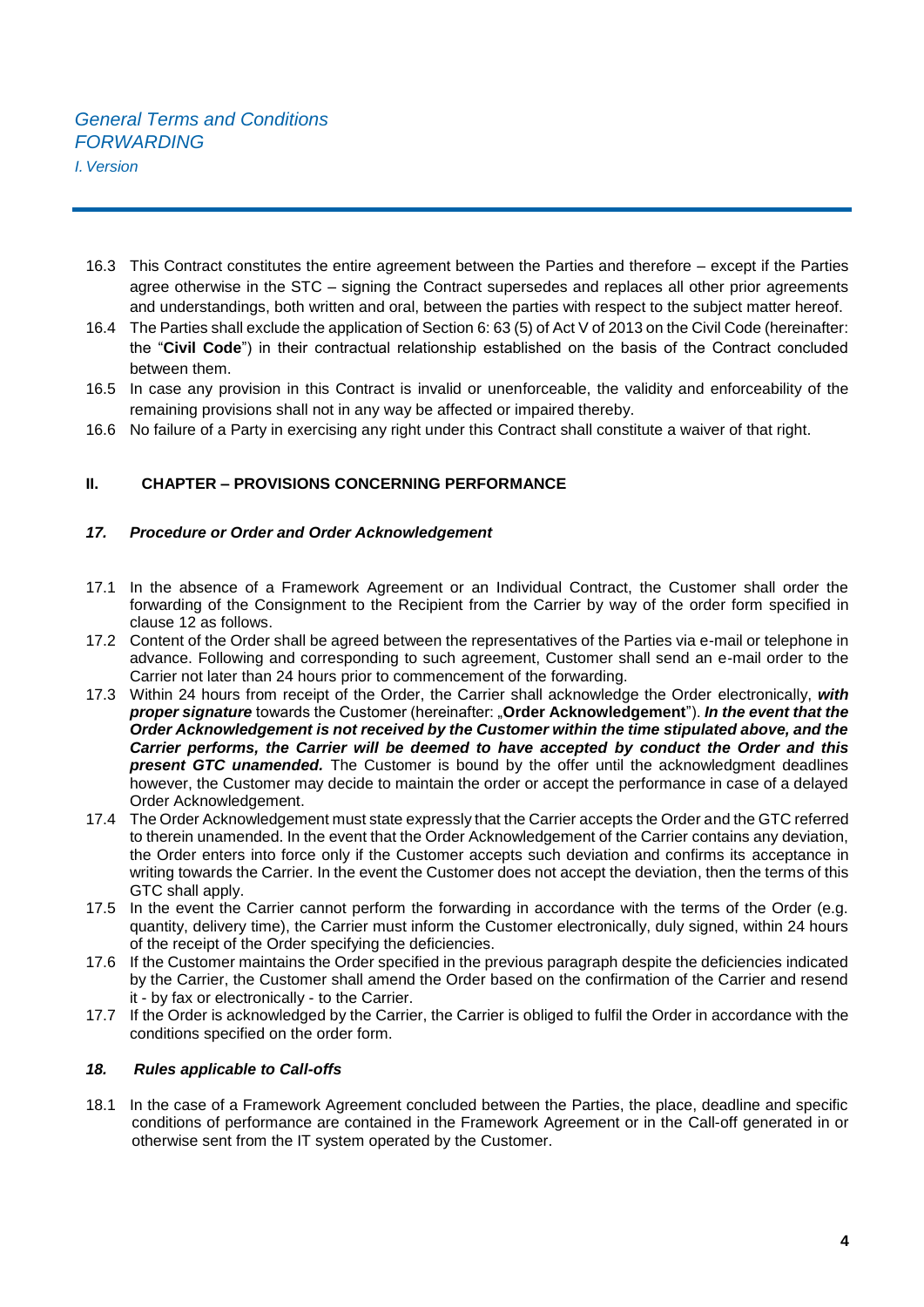- 16.3 This Contract constitutes the entire agreement between the Parties and therefore except if the Parties agree otherwise in the STC – signing the Contract supersedes and replaces all other prior agreements and understandings, both written and oral, between the parties with respect to the subject matter hereof.
- 16.4 The Parties shall exclude the application of Section 6: 63 (5) of Act V of 2013 on the Civil Code (hereinafter: the "**Civil Code**") in their contractual relationship established on the basis of the Contract concluded between them.
- 16.5 In case any provision in this Contract is invalid or unenforceable, the validity and enforceability of the remaining provisions shall not in any way be affected or impaired thereby.
- 16.6 No failure of a Party in exercising any right under this Contract shall constitute a waiver of that right.

## **II. CHAPTER – PROVISIONS CONCERNING PERFORMANCE**

## *17. Procedure or Order and Order Acknowledgement*

- 17.1 In the absence of a Framework Agreement or an Individual Contract, the Customer shall order the forwarding of the Consignment to the Recipient from the Carrier by way of the order form specified in clause 12 as follows.
- 17.2 Content of the Order shall be agreed between the representatives of the Parties via e-mail or telephone in advance. Following and corresponding to such agreement, Customer shall send an e-mail order to the Carrier not later than 24 hours prior to commencement of the forwarding.
- 17.3 Within 24 hours from receipt of the Order, the Carrier shall acknowledge the Order electronically, *with proper signature* towards the Customer (hereinafter: "**Order Acknowledgement**"). *In the event that the Order Acknowledgement is not received by the Customer within the time stipulated above, and the Carrier performs, the Carrier will be deemed to have accepted by conduct the Order and this present GTC unamended.* The Customer is bound by the offer until the acknowledgment deadlines however, the Customer may decide to maintain the order or accept the performance in case of a delayed Order Acknowledgement.
- 17.4 The Order Acknowledgement must state expressly that the Carrier accepts the Order and the GTC referred to therein unamended. In the event that the Order Acknowledgement of the Carrier contains any deviation, the Order enters into force only if the Customer accepts such deviation and confirms its acceptance in writing towards the Carrier. In the event the Customer does not accept the deviation, then the terms of this GTC shall apply.
- 17.5 In the event the Carrier cannot perform the forwarding in accordance with the terms of the Order (e.g. quantity, delivery time), the Carrier must inform the Customer electronically, duly signed, within 24 hours of the receipt of the Order specifying the deficiencies.
- 17.6 If the Customer maintains the Order specified in the previous paragraph despite the deficiencies indicated by the Carrier, the Customer shall amend the Order based on the confirmation of the Carrier and resend it - by fax or electronically - to the Carrier.
- 17.7 If the Order is acknowledged by the Carrier, the Carrier is obliged to fulfil the Order in accordance with the conditions specified on the order form.

#### *18. Rules applicable to Call-offs*

18.1 In the case of a Framework Agreement concluded between the Parties, the place, deadline and specific conditions of performance are contained in the Framework Agreement or in the Call-off generated in or otherwise sent from the IT system operated by the Customer.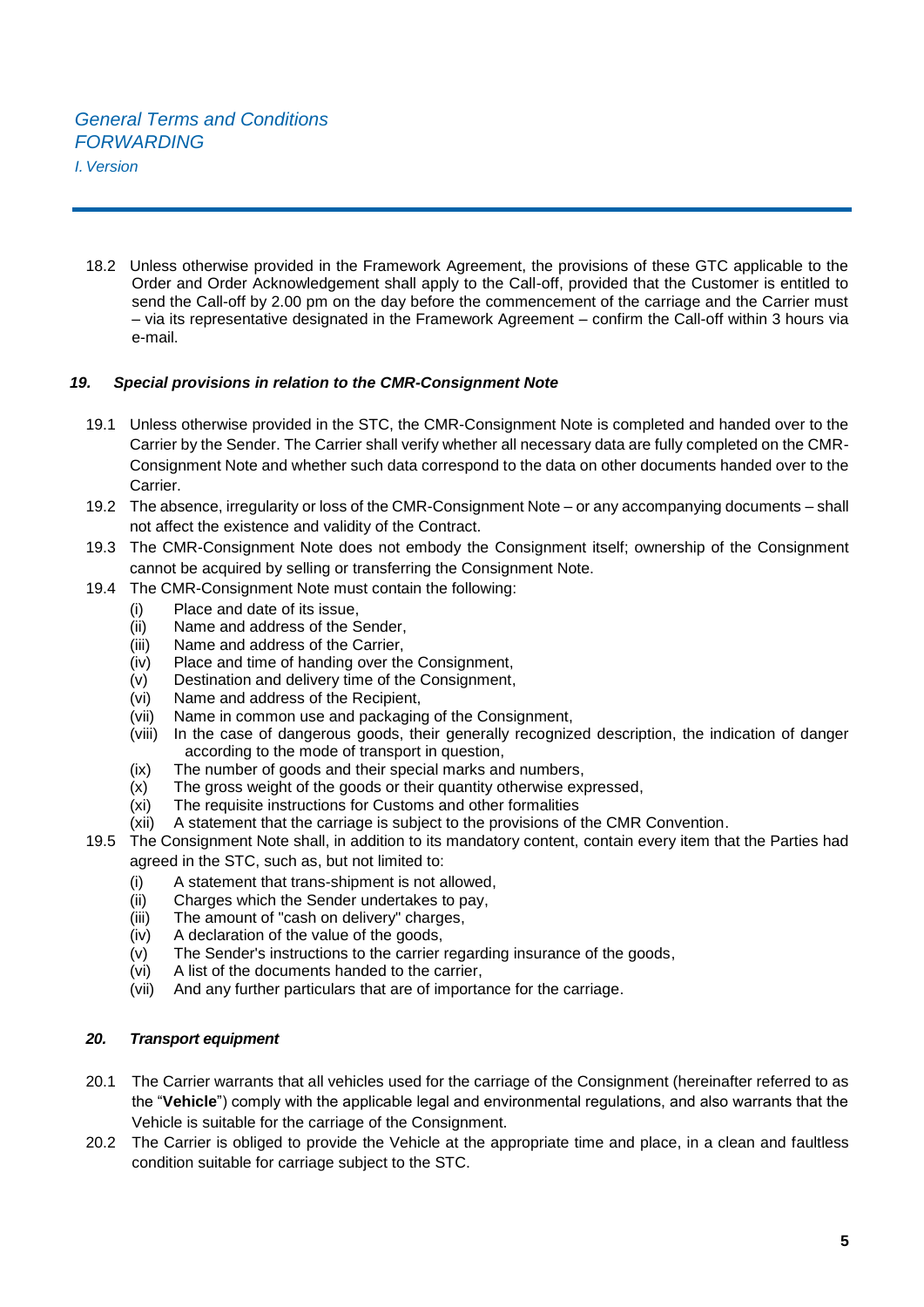18.2 Unless otherwise provided in the Framework Agreement, the provisions of these GTC applicable to the Order and Order Acknowledgement shall apply to the Call-off, provided that the Customer is entitled to send the Call-off by 2.00 pm on the day before the commencement of the carriage and the Carrier must – via its representative designated in the Framework Agreement – confirm the Call-off within 3 hours via e-mail.

## *19. Special provisions in relation to the CMR-Consignment Note*

- 19.1 Unless otherwise provided in the STC, the CMR-Consignment Note is completed and handed over to the Carrier by the Sender. The Carrier shall verify whether all necessary data are fully completed on the CMR-Consignment Note and whether such data correspond to the data on other documents handed over to the Carrier.
- 19.2 The absence, irregularity or loss of the CMR-Consignment Note or any accompanying documents shall not affect the existence and validity of the Contract.
- 19.3 The CMR-Consignment Note does not embody the Consignment itself; ownership of the Consignment cannot be acquired by selling or transferring the Consignment Note.
- 19.4 The CMR-Consignment Note must contain the following:
	- (i) Place and date of its issue,
	- (ii) Name and address of the Sender,
	- (iii) Name and address of the Carrier,
	- (iv) Place and time of handing over the Consignment,
	- (v) Destination and delivery time of the Consignment,
	- (vi) Name and address of the Recipient,
	- (vii) Name in common use and packaging of the Consignment,
	- (viii) In the case of dangerous goods, their generally recognized description, the indication of danger according to the mode of transport in question,
	- (ix) The number of goods and their special marks and numbers,
	- (x) The gross weight of the goods or their quantity otherwise expressed,
	- (xi) The requisite instructions for Customs and other formalities
	- (xii) A statement that the carriage is subject to the provisions of the CMR Convention.
- 19.5 The Consignment Note shall, in addition to its mandatory content, contain every item that the Parties had agreed in the STC, such as, but not limited to:
	- (i) A statement that trans-shipment is not allowed,
	- (ii) Charges which the Sender undertakes to pay,
	- (iii) The amount of "cash on delivery" charges,
	- (iv) A declaration of the value of the goods,
	- (v) The Sender's instructions to the carrier regarding insurance of the goods,
	- (vi) A list of the documents handed to the carrier,
	- (vii) And any further particulars that are of importance for the carriage.

## *20. Transport equipment*

- 20.1 The Carrier warrants that all vehicles used for the carriage of the Consignment (hereinafter referred to as the "**Vehicle**") comply with the applicable legal and environmental regulations, and also warrants that the Vehicle is suitable for the carriage of the Consignment.
- 20.2 The Carrier is obliged to provide the Vehicle at the appropriate time and place, in a clean and faultless condition suitable for carriage subject to the STC.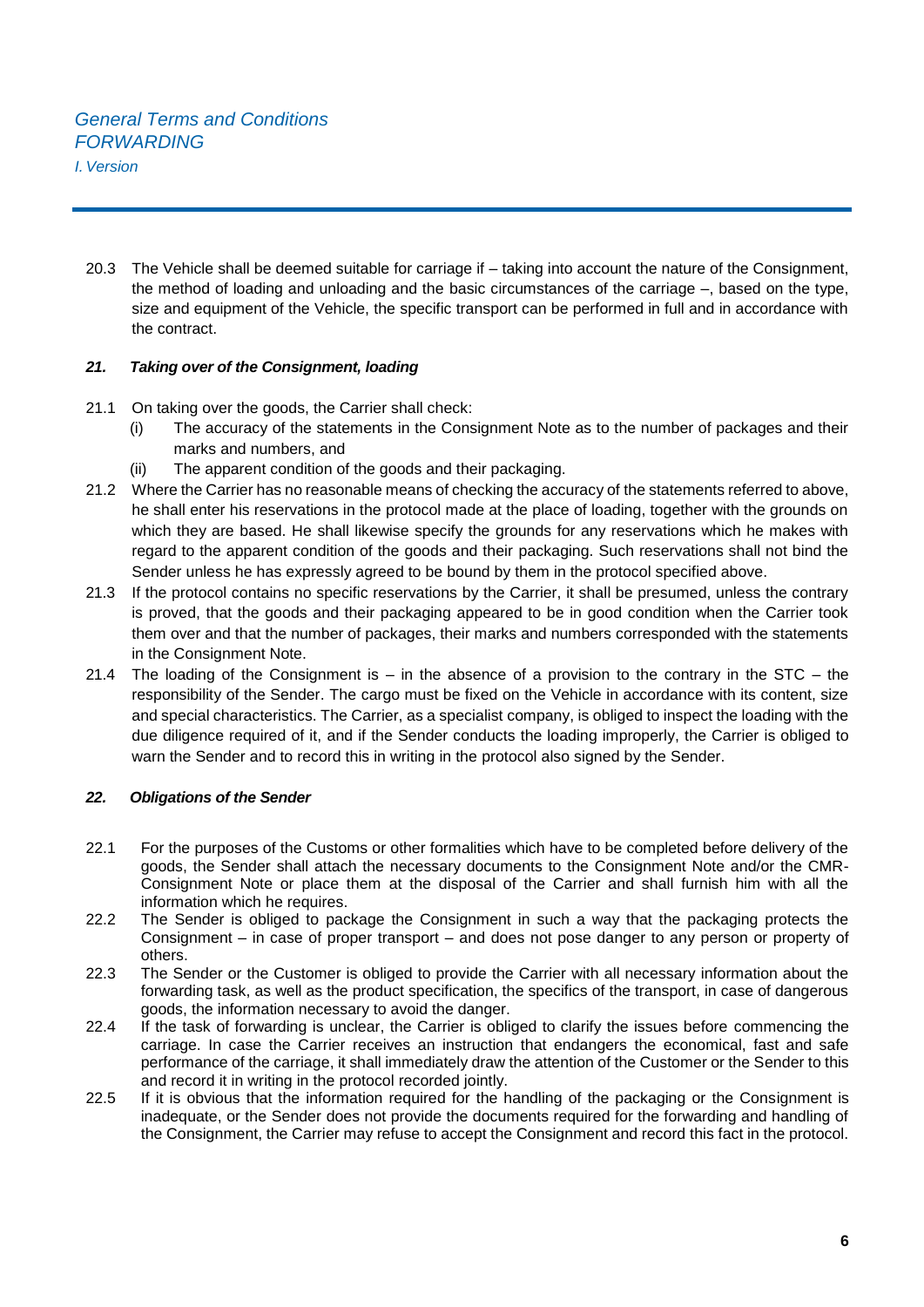20.3 The Vehicle shall be deemed suitable for carriage if – taking into account the nature of the Consignment, the method of loading and unloading and the basic circumstances of the carriage –, based on the type, size and equipment of the Vehicle, the specific transport can be performed in full and in accordance with the contract.

## *21. Taking over of the Consignment, loading*

- 21.1 On taking over the goods, the Carrier shall check:
	- (i) The accuracy of the statements in the Consignment Note as to the number of packages and their marks and numbers, and
	- (ii) The apparent condition of the goods and their packaging.
- 21.2 Where the Carrier has no reasonable means of checking the accuracy of the statements referred to above, he shall enter his reservations in the protocol made at the place of loading, together with the grounds on which they are based. He shall likewise specify the grounds for any reservations which he makes with regard to the apparent condition of the goods and their packaging. Such reservations shall not bind the Sender unless he has expressly agreed to be bound by them in the protocol specified above.
- 21.3 If the protocol contains no specific reservations by the Carrier, it shall be presumed, unless the contrary is proved, that the goods and their packaging appeared to be in good condition when the Carrier took them over and that the number of packages, their marks and numbers corresponded with the statements in the Consignment Note.
- 21.4 The loading of the Consignment is  $-$  in the absence of a provision to the contrary in the STC  $-$  the responsibility of the Sender. The cargo must be fixed on the Vehicle in accordance with its content, size and special characteristics. The Carrier, as a specialist company, is obliged to inspect the loading with the due diligence required of it, and if the Sender conducts the loading improperly, the Carrier is obliged to warn the Sender and to record this in writing in the protocol also signed by the Sender.

## *22. Obligations of the Sender*

- 22.1 For the purposes of the Customs or other formalities which have to be completed before delivery of the goods, the Sender shall attach the necessary documents to the Consignment Note and/or the CMR-Consignment Note or place them at the disposal of the Carrier and shall furnish him with all the information which he requires.
- 22.2 The Sender is obliged to package the Consignment in such a way that the packaging protects the Consignment – in case of proper transport – and does not pose danger to any person or property of others.
- 22.3 The Sender or the Customer is obliged to provide the Carrier with all necessary information about the forwarding task, as well as the product specification, the specifics of the transport, in case of dangerous goods, the information necessary to avoid the danger.
- 22.4 If the task of forwarding is unclear, the Carrier is obliged to clarify the issues before commencing the carriage. In case the Carrier receives an instruction that endangers the economical, fast and safe performance of the carriage, it shall immediately draw the attention of the Customer or the Sender to this and record it in writing in the protocol recorded jointly.
- 22.5 If it is obvious that the information required for the handling of the packaging or the Consignment is inadequate, or the Sender does not provide the documents required for the forwarding and handling of the Consignment, the Carrier may refuse to accept the Consignment and record this fact in the protocol.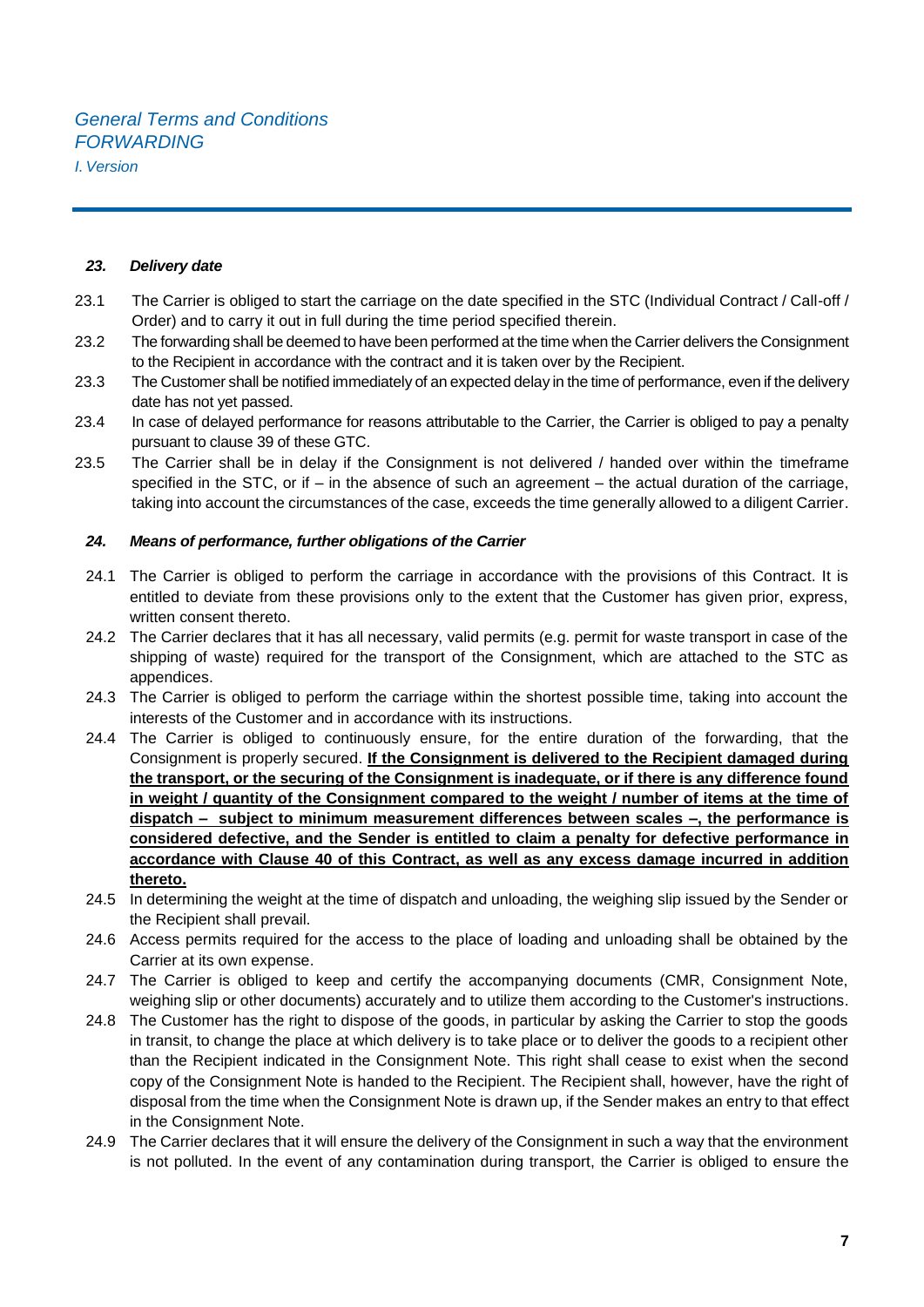*I.Version*

#### *23. Delivery date*

- 23.1 The Carrier is obliged to start the carriage on the date specified in the STC (Individual Contract / Call-off / Order) and to carry it out in full during the time period specified therein.
- 23.2 The forwarding shall be deemed to have been performed at the time when the Carrier delivers the Consignment to the Recipient in accordance with the contract and it is taken over by the Recipient.
- 23.3 The Customer shall be notified immediately of an expected delay in the time of performance, even if the delivery date has not yet passed.
- 23.4 In case of delayed performance for reasons attributable to the Carrier, the Carrier is obliged to pay a penalty pursuant to clause 39 of these GTC.
- 23.5 The Carrier shall be in delay if the Consignment is not delivered / handed over within the timeframe specified in the STC, or if – in the absence of such an agreement – the actual duration of the carriage, taking into account the circumstances of the case, exceeds the time generally allowed to a diligent Carrier.

#### *24. Means of performance, further obligations of the Carrier*

- 24.1 The Carrier is obliged to perform the carriage in accordance with the provisions of this Contract. It is entitled to deviate from these provisions only to the extent that the Customer has given prior, express, written consent thereto.
- 24.2 The Carrier declares that it has all necessary, valid permits (e.g. permit for waste transport in case of the shipping of waste) required for the transport of the Consignment, which are attached to the STC as appendices.
- 24.3 The Carrier is obliged to perform the carriage within the shortest possible time, taking into account the interests of the Customer and in accordance with its instructions.
- 24.4 The Carrier is obliged to continuously ensure, for the entire duration of the forwarding, that the Consignment is properly secured. **If the Consignment is delivered to the Recipient damaged during the transport, or the securing of the Consignment is inadequate, or if there is any difference found in weight / quantity of the Consignment compared to the weight / number of items at the time of dispatch – subject to minimum measurement differences between scales –, the performance is considered defective, and the Sender is entitled to claim a penalty for defective performance in accordance with Clause 40 of this Contract, as well as any excess damage incurred in addition thereto.**
- 24.5 In determining the weight at the time of dispatch and unloading, the weighing slip issued by the Sender or the Recipient shall prevail.
- 24.6 Access permits required for the access to the place of loading and unloading shall be obtained by the Carrier at its own expense.
- 24.7 The Carrier is obliged to keep and certify the accompanying documents (CMR, Consignment Note, weighing slip or other documents) accurately and to utilize them according to the Customer's instructions.
- 24.8 The Customer has the right to dispose of the goods, in particular by asking the Carrier to stop the goods in transit, to change the place at which delivery is to take place or to deliver the goods to a recipient other than the Recipient indicated in the Consignment Note. This right shall cease to exist when the second copy of the Consignment Note is handed to the Recipient. The Recipient shall, however, have the right of disposal from the time when the Consignment Note is drawn up, if the Sender makes an entry to that effect in the Consignment Note.
- 24.9 The Carrier declares that it will ensure the delivery of the Consignment in such a way that the environment is not polluted. In the event of any contamination during transport, the Carrier is obliged to ensure the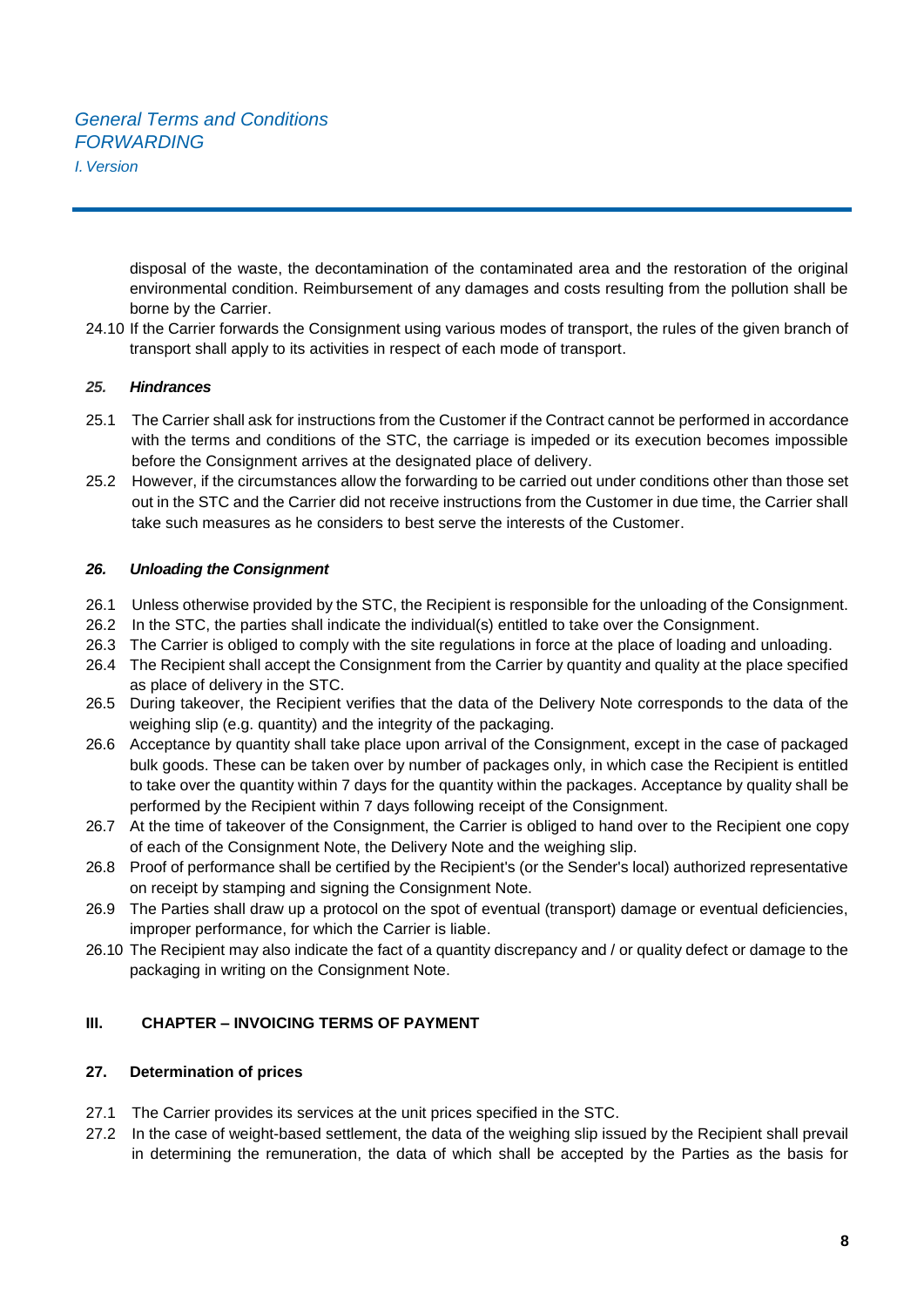disposal of the waste, the decontamination of the contaminated area and the restoration of the original environmental condition. Reimbursement of any damages and costs resulting from the pollution shall be borne by the Carrier.

24.10 If the Carrier forwards the Consignment using various modes of transport, the rules of the given branch of transport shall apply to its activities in respect of each mode of transport.

## *25. Hindrances*

- 25.1 The Carrier shall ask for instructions from the Customer if the Contract cannot be performed in accordance with the terms and conditions of the STC, the carriage is impeded or its execution becomes impossible before the Consignment arrives at the designated place of delivery.
- 25.2 However, if the circumstances allow the forwarding to be carried out under conditions other than those set out in the STC and the Carrier did not receive instructions from the Customer in due time, the Carrier shall take such measures as he considers to best serve the interests of the Customer.

#### *26. Unloading the Consignment*

- 26.1 Unless otherwise provided by the STC, the Recipient is responsible for the unloading of the Consignment.
- 26.2 In the STC, the parties shall indicate the individual(s) entitled to take over the Consignment.
- 26.3 The Carrier is obliged to comply with the site regulations in force at the place of loading and unloading.
- 26.4 The Recipient shall accept the Consignment from the Carrier by quantity and quality at the place specified as place of delivery in the STC.
- 26.5 During takeover, the Recipient verifies that the data of the Delivery Note corresponds to the data of the weighing slip (e.g. quantity) and the integrity of the packaging.
- 26.6 Acceptance by quantity shall take place upon arrival of the Consignment, except in the case of packaged bulk goods. These can be taken over by number of packages only, in which case the Recipient is entitled to take over the quantity within 7 days for the quantity within the packages. Acceptance by quality shall be performed by the Recipient within 7 days following receipt of the Consignment.
- 26.7 At the time of takeover of the Consignment, the Carrier is obliged to hand over to the Recipient one copy of each of the Consignment Note, the Delivery Note and the weighing slip.
- 26.8 Proof of performance shall be certified by the Recipient's (or the Sender's local) authorized representative on receipt by stamping and signing the Consignment Note.
- 26.9 The Parties shall draw up a protocol on the spot of eventual (transport) damage or eventual deficiencies, improper performance, for which the Carrier is liable.
- 26.10 The Recipient may also indicate the fact of a quantity discrepancy and / or quality defect or damage to the packaging in writing on the Consignment Note.

## **III. CHAPTER – INVOICING TERMS OF PAYMENT**

## **27. Determination of prices**

- 27.1 The Carrier provides its services at the unit prices specified in the STC.
- 27.2 In the case of weight-based settlement, the data of the weighing slip issued by the Recipient shall prevail in determining the remuneration, the data of which shall be accepted by the Parties as the basis for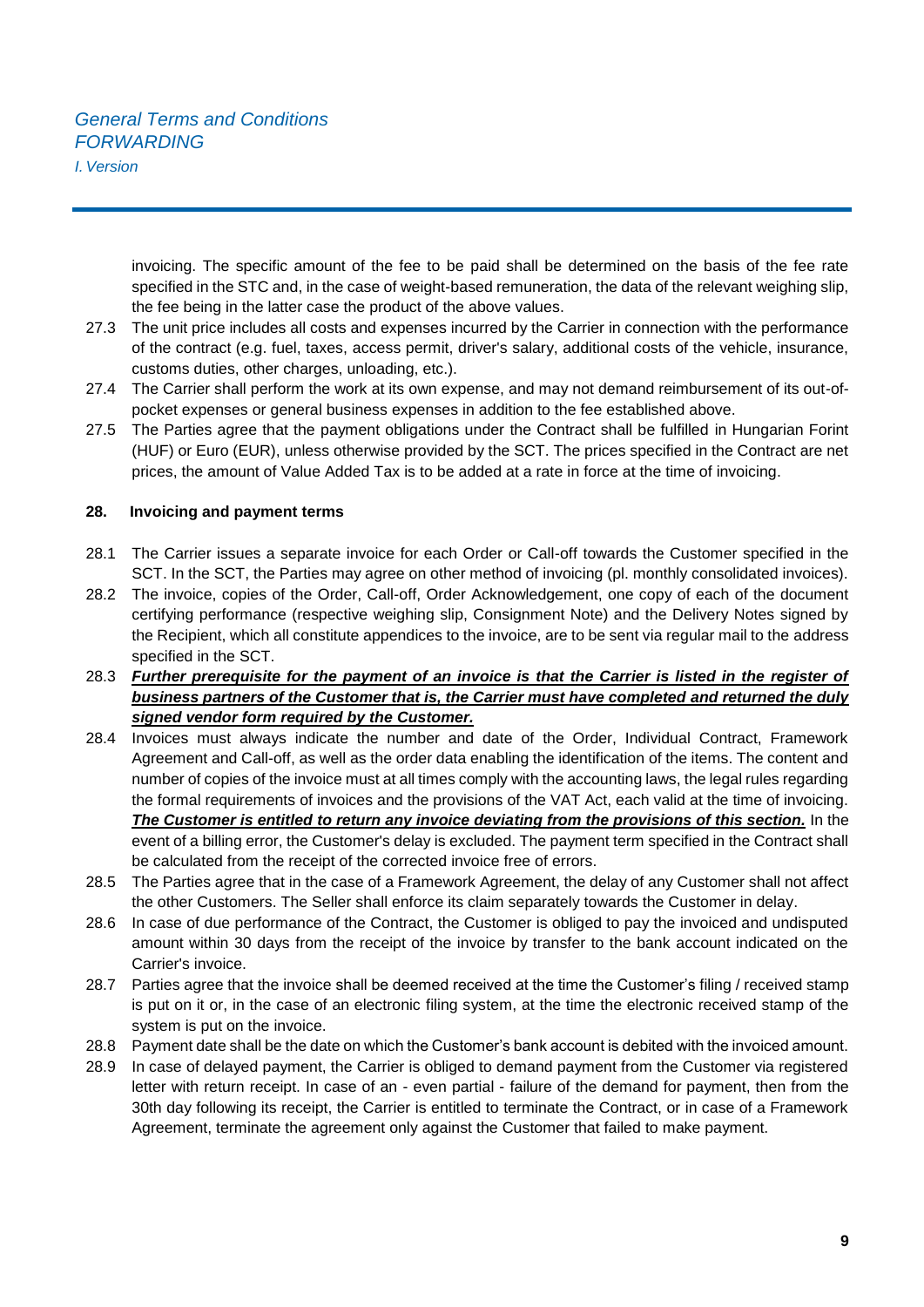*I.Version*

invoicing. The specific amount of the fee to be paid shall be determined on the basis of the fee rate specified in the STC and, in the case of weight-based remuneration, the data of the relevant weighing slip, the fee being in the latter case the product of the above values.

- 27.3 The unit price includes all costs and expenses incurred by the Carrier in connection with the performance of the contract (e.g. fuel, taxes, access permit, driver's salary, additional costs of the vehicle, insurance, customs duties, other charges, unloading, etc.).
- 27.4 The Carrier shall perform the work at its own expense, and may not demand reimbursement of its out-ofpocket expenses or general business expenses in addition to the fee established above.
- 27.5 The Parties agree that the payment obligations under the Contract shall be fulfilled in Hungarian Forint (HUF) or Euro (EUR), unless otherwise provided by the SCT. The prices specified in the Contract are net prices, the amount of Value Added Tax is to be added at a rate in force at the time of invoicing.

## **28. Invoicing and payment terms**

- 28.1 The Carrier issues a separate invoice for each Order or Call-off towards the Customer specified in the SCT. In the SCT, the Parties may agree on other method of invoicing (pl. monthly consolidated invoices).
- 28.2 The invoice, copies of the Order, Call-off, Order Acknowledgement, one copy of each of the document certifying performance (respective weighing slip, Consignment Note) and the Delivery Notes signed by the Recipient, which all constitute appendices to the invoice, are to be sent via regular mail to the address specified in the SCT.
- 28.3 *Further prerequisite for the payment of an invoice is that the Carrier is listed in the register of business partners of the Customer that is, the Carrier must have completed and returned the duly signed vendor form required by the Customer.*
- 28.4 Invoices must always indicate the number and date of the Order, Individual Contract, Framework Agreement and Call-off, as well as the order data enabling the identification of the items. The content and number of copies of the invoice must at all times comply with the accounting laws, the legal rules regarding the formal requirements of invoices and the provisions of the VAT Act, each valid at the time of invoicing. *The Customer is entitled to return any invoice deviating from the provisions of this section.* In the event of a billing error, the Customer's delay is excluded. The payment term specified in the Contract shall be calculated from the receipt of the corrected invoice free of errors.
- 28.5 The Parties agree that in the case of a Framework Agreement, the delay of any Customer shall not affect the other Customers. The Seller shall enforce its claim separately towards the Customer in delay.
- 28.6 In case of due performance of the Contract, the Customer is obliged to pay the invoiced and undisputed amount within 30 days from the receipt of the invoice by transfer to the bank account indicated on the Carrier's invoice.
- 28.7 Parties agree that the invoice shall be deemed received at the time the Customer's filing / received stamp is put on it or, in the case of an electronic filing system, at the time the electronic received stamp of the system is put on the invoice.
- 28.8 Payment date shall be the date on which the Customer's bank account is debited with the invoiced amount.
- 28.9 In case of delayed payment, the Carrier is obliged to demand payment from the Customer via registered letter with return receipt. In case of an - even partial - failure of the demand for payment, then from the 30th day following its receipt, the Carrier is entitled to terminate the Contract, or in case of a Framework Agreement, terminate the agreement only against the Customer that failed to make payment.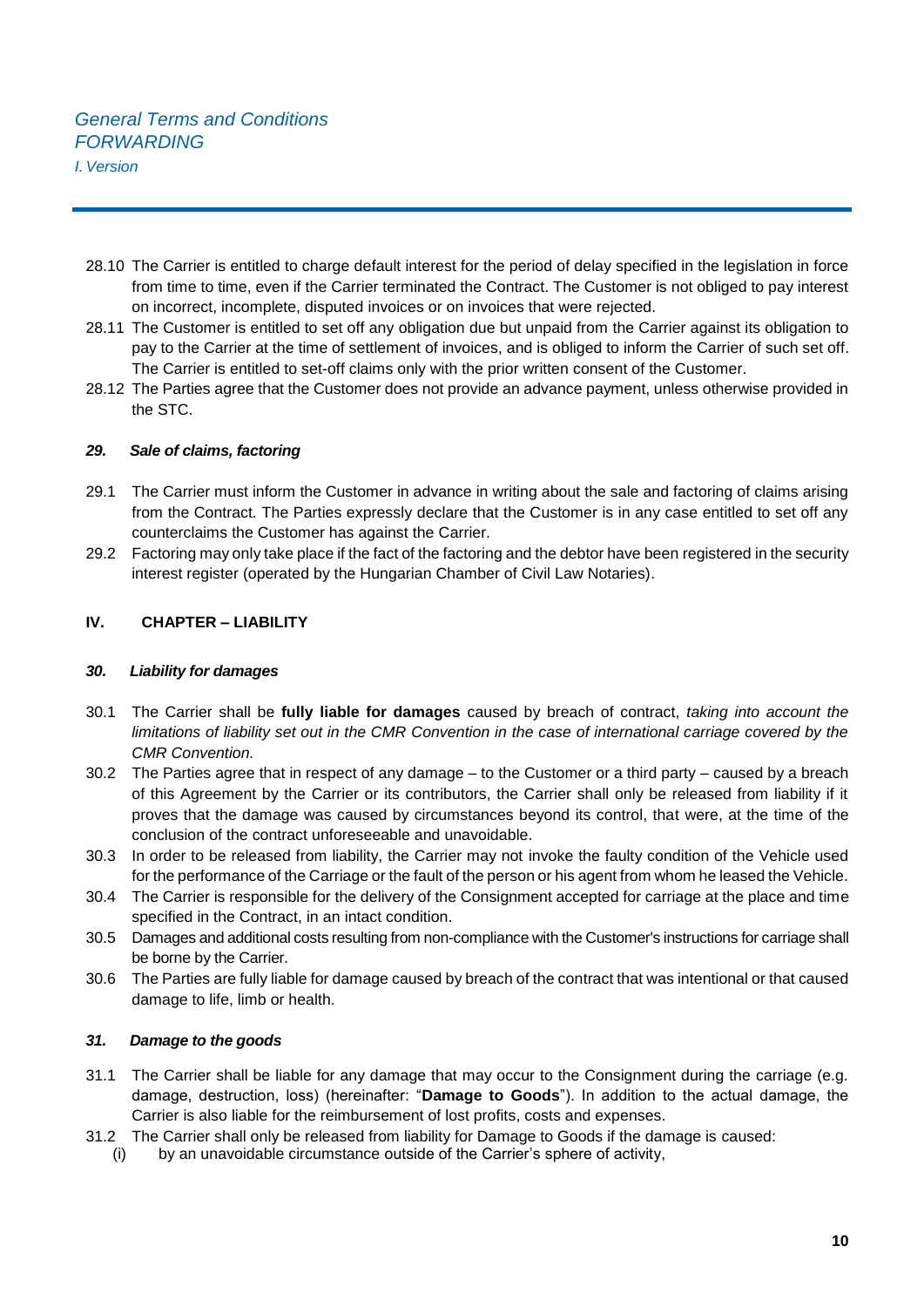- 28.10 The Carrier is entitled to charge default interest for the period of delay specified in the legislation in force from time to time, even if the Carrier terminated the Contract. The Customer is not obliged to pay interest on incorrect, incomplete, disputed invoices or on invoices that were rejected.
- 28.11 The Customer is entitled to set off any obligation due but unpaid from the Carrier against its obligation to pay to the Carrier at the time of settlement of invoices, and is obliged to inform the Carrier of such set off. The Carrier is entitled to set-off claims only with the prior written consent of the Customer.
- 28.12 The Parties agree that the Customer does not provide an advance payment, unless otherwise provided in the STC.

## *29. Sale of claims, factoring*

- 29.1 The Carrier must inform the Customer in advance in writing about the sale and factoring of claims arising from the Contract. The Parties expressly declare that the Customer is in any case entitled to set off any counterclaims the Customer has against the Carrier.
- 29.2 Factoring may only take place if the fact of the factoring and the debtor have been registered in the security interest register (operated by the Hungarian Chamber of Civil Law Notaries).

## **IV. CHAPTER – LIABILITY**

#### *30. Liability for damages*

- 30.1 The Carrier shall be **fully liable for damages** caused by breach of contract, *taking into account the limitations of liability set out in the CMR Convention in the case of international carriage covered by the CMR Convention.*
- 30.2 The Parties agree that in respect of any damage to the Customer or a third party caused by a breach of this Agreement by the Carrier or its contributors, the Carrier shall only be released from liability if it proves that the damage was caused by circumstances beyond its control, that were, at the time of the conclusion of the contract unforeseeable and unavoidable.
- 30.3 In order to be released from liability, the Carrier may not invoke the faulty condition of the Vehicle used for the performance of the Carriage or the fault of the person or his agent from whom he leased the Vehicle.
- 30.4 The Carrier is responsible for the delivery of the Consignment accepted for carriage at the place and time specified in the Contract, in an intact condition.
- 30.5 Damages and additional costs resulting from non-compliance with the Customer's instructions for carriage shall be borne by the Carrier.
- 30.6 The Parties are fully liable for damage caused by breach of the contract that was intentional or that caused damage to life, limb or health.

#### *31. Damage to the goods*

- 31.1 The Carrier shall be liable for any damage that may occur to the Consignment during the carriage (e.g. damage, destruction, loss) (hereinafter: "**Damage to Goods**"). In addition to the actual damage, the Carrier is also liable for the reimbursement of lost profits, costs and expenses.
- 31.2 The Carrier shall only be released from liability for Damage to Goods if the damage is caused:
	- (i) by an unavoidable circumstance outside of the Carrier's sphere of activity,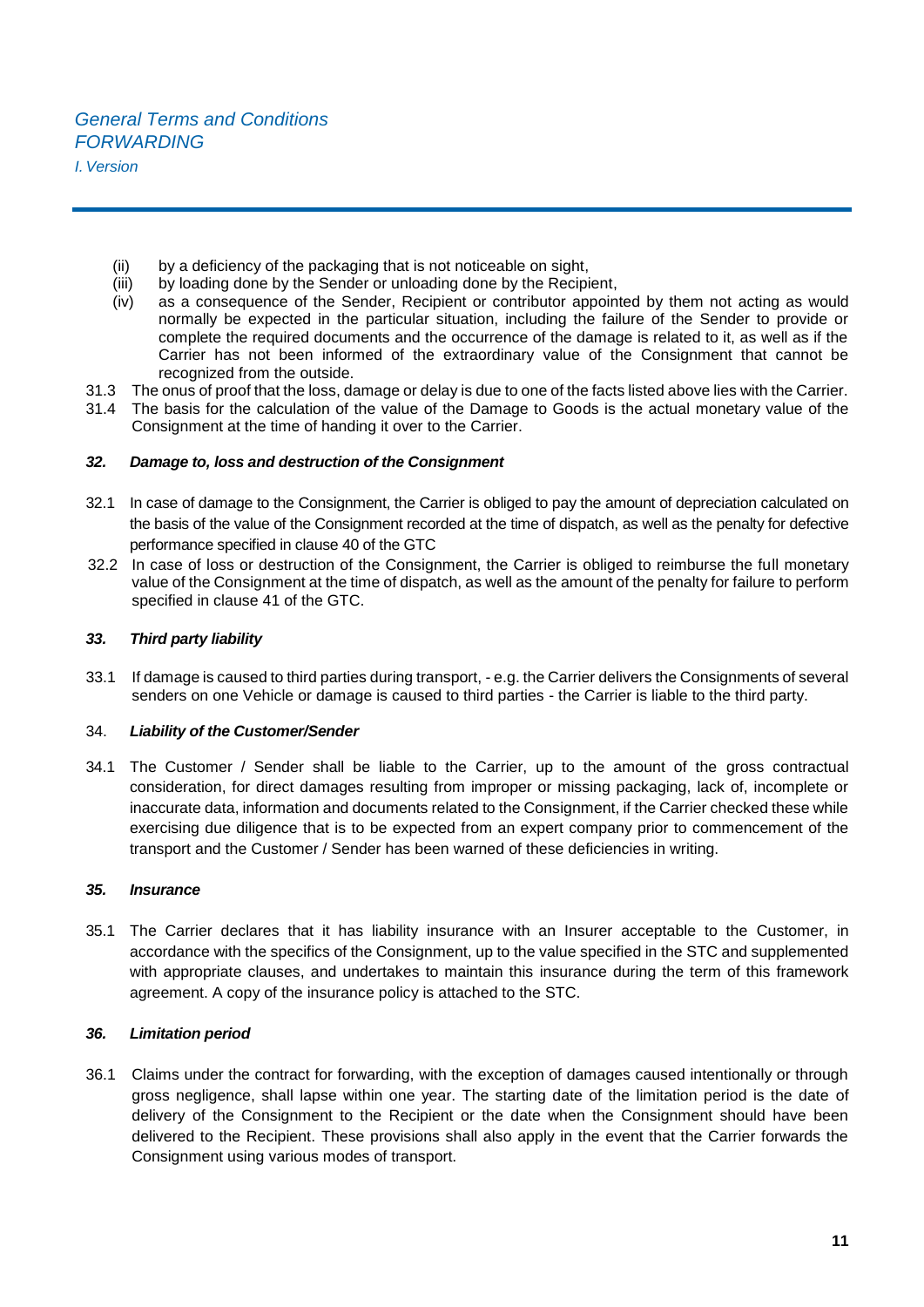- (ii) by a deficiency of the packaging that is not noticeable on sight,<br>(iii) by loading done by the Sender or unloading done by the Recipi
- by loading done by the Sender or unloading done by the Recipient.
- (iv) as a consequence of the Sender, Recipient or contributor appointed by them not acting as would normally be expected in the particular situation, including the failure of the Sender to provide or complete the required documents and the occurrence of the damage is related to it, as well as if the Carrier has not been informed of the extraordinary value of the Consignment that cannot be recognized from the outside.
- 31.3 The onus of proof that the loss, damage or delay is due to one of the facts listed above lies with the Carrier.
- 31.4 The basis for the calculation of the value of the Damage to Goods is the actual monetary value of the Consignment at the time of handing it over to the Carrier.

#### *32. Damage to, loss and destruction of the Consignment*

- 32.1 In case of damage to the Consignment, the Carrier is obliged to pay the amount of depreciation calculated on the basis of the value of the Consignment recorded at the time of dispatch, as well as the penalty for defective performance specified in clause 40 of the GTC
- 32.2 In case of loss or destruction of the Consignment, the Carrier is obliged to reimburse the full monetary value of the Consignment at the time of dispatch, as well as the amount of the penalty for failure to perform specified in clause 41 of the GTC.

#### *33. Third party liability*

33.1 If damage is caused to third parties during transport, - e.g. the Carrier delivers the Consignments of several senders on one Vehicle or damage is caused to third parties - the Carrier is liable to the third party.

#### 34. *Liability of the Customer/Sender*

34.1 The Customer / Sender shall be liable to the Carrier, up to the amount of the gross contractual consideration, for direct damages resulting from improper or missing packaging, lack of, incomplete or inaccurate data, information and documents related to the Consignment, if the Carrier checked these while exercising due diligence that is to be expected from an expert company prior to commencement of the transport and the Customer / Sender has been warned of these deficiencies in writing.

#### *35. Insurance*

35.1 The Carrier declares that it has liability insurance with an Insurer acceptable to the Customer, in accordance with the specifics of the Consignment, up to the value specified in the STC and supplemented with appropriate clauses, and undertakes to maintain this insurance during the term of this framework agreement. A copy of the insurance policy is attached to the STC.

## *36. Limitation period*

36.1 Claims under the contract for forwarding, with the exception of damages caused intentionally or through gross negligence, shall lapse within one year. The starting date of the limitation period is the date of delivery of the Consignment to the Recipient or the date when the Consignment should have been delivered to the Recipient. These provisions shall also apply in the event that the Carrier forwards the Consignment using various modes of transport.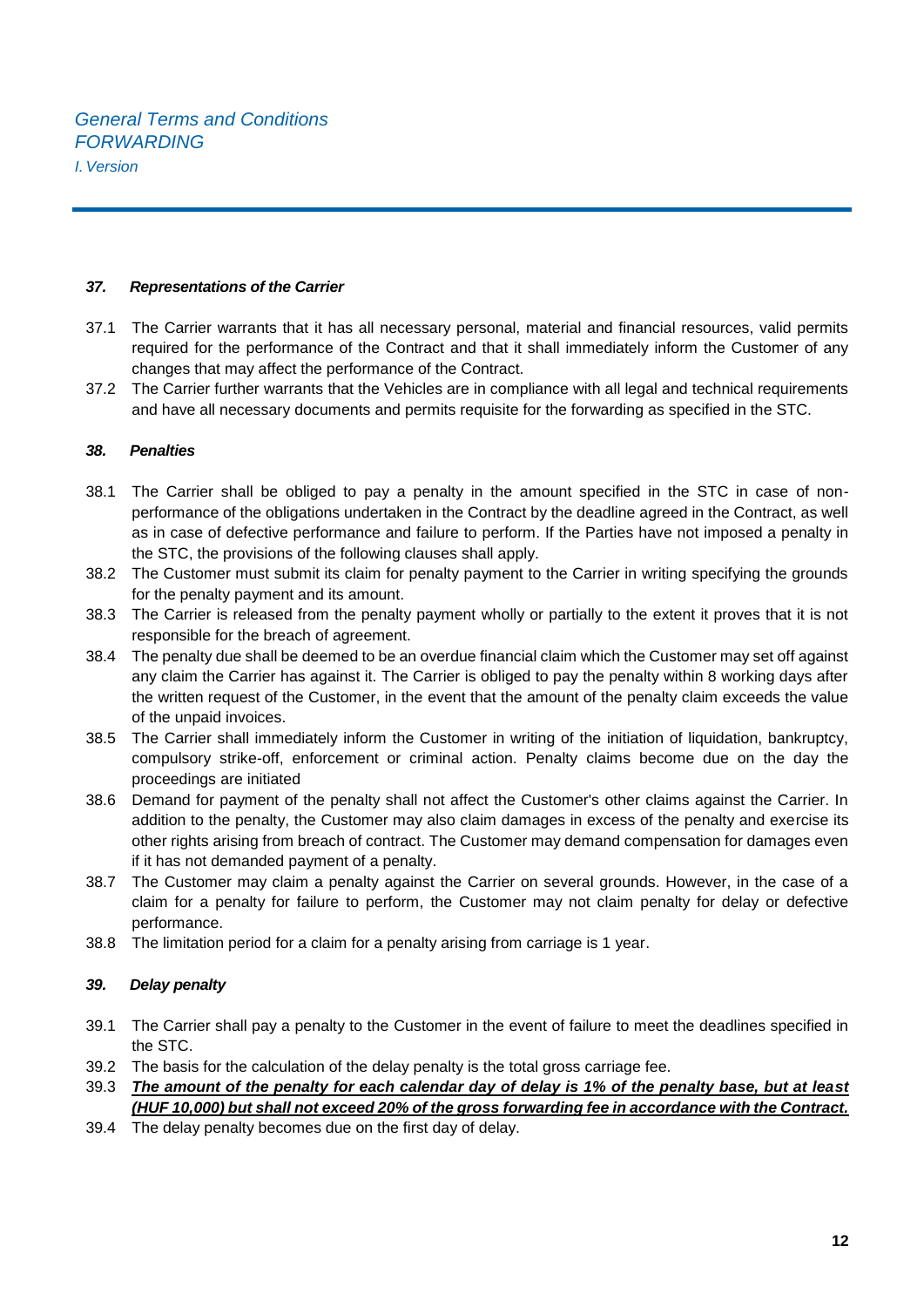#### *37. Representations of the Carrier*

- 37.1 The Carrier warrants that it has all necessary personal, material and financial resources, valid permits required for the performance of the Contract and that it shall immediately inform the Customer of any changes that may affect the performance of the Contract.
- 37.2 The Carrier further warrants that the Vehicles are in compliance with all legal and technical requirements and have all necessary documents and permits requisite for the forwarding as specified in the STC.

#### *38. Penalties*

- 38.1 The Carrier shall be obliged to pay a penalty in the amount specified in the STC in case of nonperformance of the obligations undertaken in the Contract by the deadline agreed in the Contract, as well as in case of defective performance and failure to perform. If the Parties have not imposed a penalty in the STC, the provisions of the following clauses shall apply.
- 38.2 The Customer must submit its claim for penalty payment to the Carrier in writing specifying the grounds for the penalty payment and its amount.
- 38.3 The Carrier is released from the penalty payment wholly or partially to the extent it proves that it is not responsible for the breach of agreement.
- 38.4 The penalty due shall be deemed to be an overdue financial claim which the Customer may set off against any claim the Carrier has against it. The Carrier is obliged to pay the penalty within 8 working days after the written request of the Customer, in the event that the amount of the penalty claim exceeds the value of the unpaid invoices.
- 38.5 The Carrier shall immediately inform the Customer in writing of the initiation of liquidation, bankruptcy, compulsory strike-off, enforcement or criminal action. Penalty claims become due on the day the proceedings are initiated
- 38.6 Demand for payment of the penalty shall not affect the Customer's other claims against the Carrier. In addition to the penalty, the Customer may also claim damages in excess of the penalty and exercise its other rights arising from breach of contract. The Customer may demand compensation for damages even if it has not demanded payment of a penalty.
- 38.7 The Customer may claim a penalty against the Carrier on several grounds. However, in the case of a claim for a penalty for failure to perform, the Customer may not claim penalty for delay or defective performance.
- 38.8 The limitation period for a claim for a penalty arising from carriage is 1 year.

#### *39. Delay penalty*

- 39.1 The Carrier shall pay a penalty to the Customer in the event of failure to meet the deadlines specified in the STC.
- 39.2 The basis for the calculation of the delay penalty is the total gross carriage fee.
- 39.3 *The amount of the penalty for each calendar day of delay is 1% of the penalty base, but at least (HUF 10,000) but shall not exceed 20% of the gross forwarding fee in accordance with the Contract.*
- 39.4 The delay penalty becomes due on the first day of delay.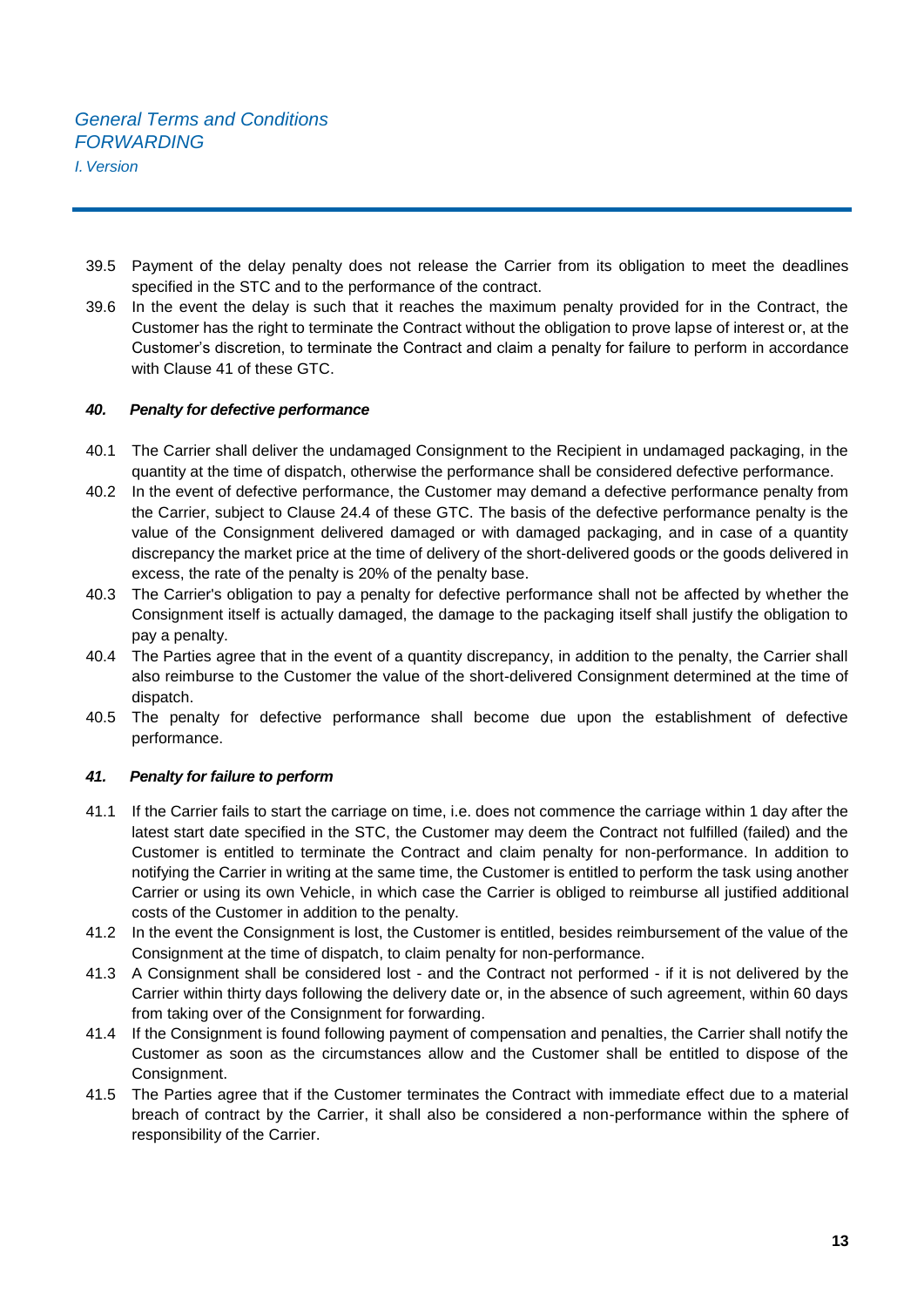- 39.5 Payment of the delay penalty does not release the Carrier from its obligation to meet the deadlines specified in the STC and to the performance of the contract.
- 39.6 In the event the delay is such that it reaches the maximum penalty provided for in the Contract, the Customer has the right to terminate the Contract without the obligation to prove lapse of interest or, at the Customer's discretion, to terminate the Contract and claim a penalty for failure to perform in accordance with Clause 41 of these GTC.

## *40. Penalty for defective performance*

- 40.1 The Carrier shall deliver the undamaged Consignment to the Recipient in undamaged packaging, in the quantity at the time of dispatch, otherwise the performance shall be considered defective performance.
- 40.2 In the event of defective performance, the Customer may demand a defective performance penalty from the Carrier, subject to Clause 24.4 of these GTC. The basis of the defective performance penalty is the value of the Consignment delivered damaged or with damaged packaging, and in case of a quantity discrepancy the market price at the time of delivery of the short-delivered goods or the goods delivered in excess, the rate of the penalty is 20% of the penalty base.
- 40.3 The Carrier's obligation to pay a penalty for defective performance shall not be affected by whether the Consignment itself is actually damaged, the damage to the packaging itself shall justify the obligation to pay a penalty.
- 40.4 The Parties agree that in the event of a quantity discrepancy, in addition to the penalty, the Carrier shall also reimburse to the Customer the value of the short-delivered Consignment determined at the time of dispatch.
- 40.5 The penalty for defective performance shall become due upon the establishment of defective performance.

## *41. Penalty for failure to perform*

- 41.1 If the Carrier fails to start the carriage on time, i.e. does not commence the carriage within 1 day after the latest start date specified in the STC, the Customer may deem the Contract not fulfilled (failed) and the Customer is entitled to terminate the Contract and claim penalty for non-performance. In addition to notifying the Carrier in writing at the same time, the Customer is entitled to perform the task using another Carrier or using its own Vehicle, in which case the Carrier is obliged to reimburse all justified additional costs of the Customer in addition to the penalty.
- 41.2 In the event the Consignment is lost, the Customer is entitled, besides reimbursement of the value of the Consignment at the time of dispatch, to claim penalty for non-performance.
- 41.3 A Consignment shall be considered lost and the Contract not performed if it is not delivered by the Carrier within thirty days following the delivery date or, in the absence of such agreement, within 60 days from taking over of the Consignment for forwarding.
- 41.4 If the Consignment is found following payment of compensation and penalties, the Carrier shall notify the Customer as soon as the circumstances allow and the Customer shall be entitled to dispose of the Consignment.
- 41.5 The Parties agree that if the Customer terminates the Contract with immediate effect due to a material breach of contract by the Carrier, it shall also be considered a non-performance within the sphere of responsibility of the Carrier.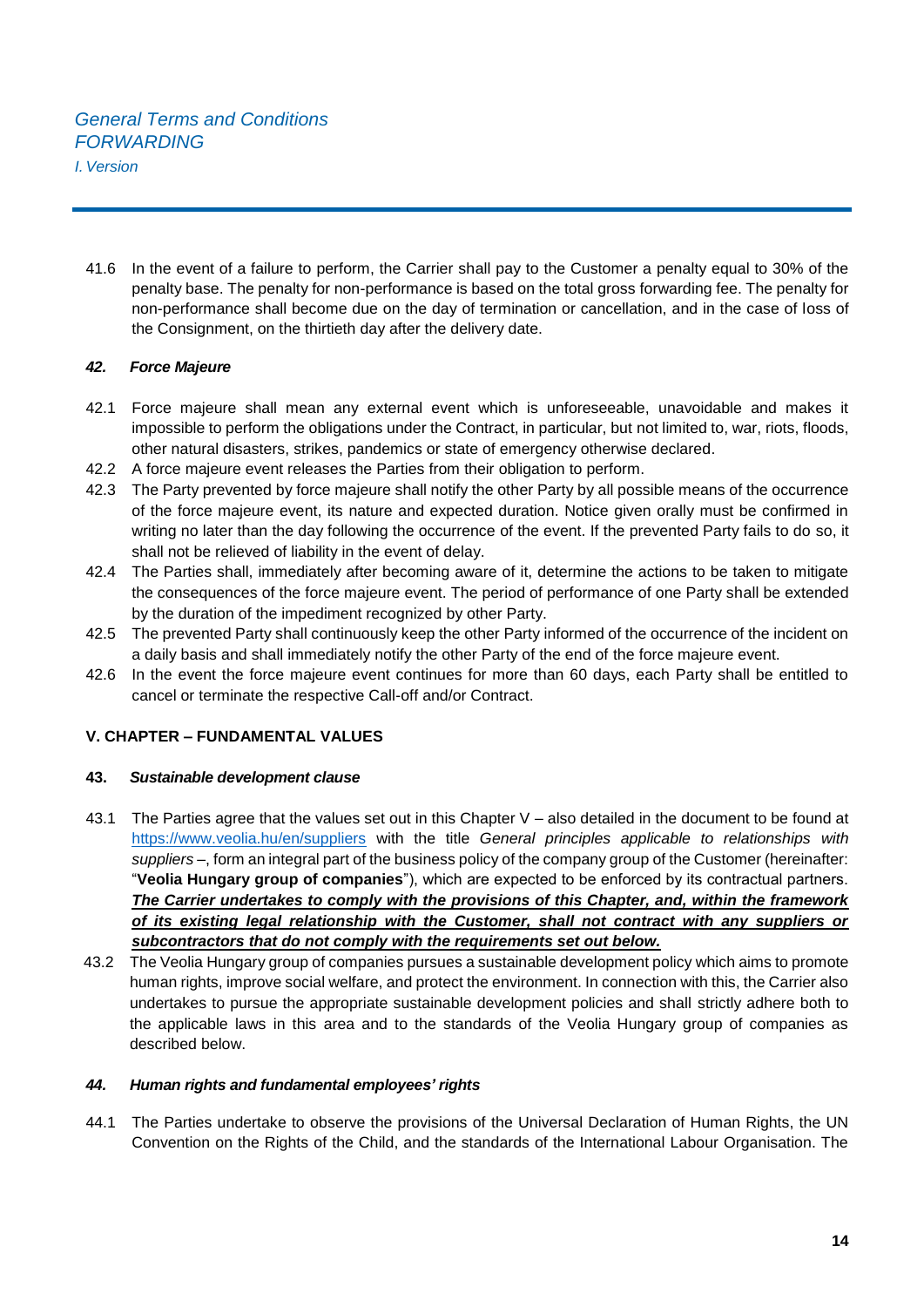41.6 In the event of a failure to perform, the Carrier shall pay to the Customer a penalty equal to 30% of the penalty base. The penalty for non-performance is based on the total gross forwarding fee. The penalty for non-performance shall become due on the day of termination or cancellation, and in the case of loss of the Consignment, on the thirtieth day after the delivery date.

## *42. Force Majeure*

- 42.1 Force majeure shall mean any external event which is unforeseeable, unavoidable and makes it impossible to perform the obligations under the Contract, in particular, but not limited to, war, riots, floods, other natural disasters, strikes, pandemics or state of emergency otherwise declared.
- 42.2 A force majeure event releases the Parties from their obligation to perform.
- 42.3 The Party prevented by force majeure shall notify the other Party by all possible means of the occurrence of the force majeure event, its nature and expected duration. Notice given orally must be confirmed in writing no later than the day following the occurrence of the event. If the prevented Party fails to do so, it shall not be relieved of liability in the event of delay.
- 42.4 The Parties shall, immediately after becoming aware of it, determine the actions to be taken to mitigate the consequences of the force majeure event. The period of performance of one Party shall be extended by the duration of the impediment recognized by other Party.
- 42.5 The prevented Party shall continuously keep the other Party informed of the occurrence of the incident on a daily basis and shall immediately notify the other Party of the end of the force majeure event.
- 42.6 In the event the force majeure event continues for more than 60 days, each Party shall be entitled to cancel or terminate the respective Call-off and/or Contract.

## **V. CHAPTER – FUNDAMENTAL VALUES**

## **43.** *Sustainable development clause*

- 43.1 The Parties agree that the values set out in this Chapter V also detailed in the document to be found at <https://www.veolia.hu/en/suppliers> with the title *General principles applicable to relationships with suppliers –*, form an integral part of the business policy of the company group of the Customer (hereinafter: "**Veolia Hungary group of companies**"), which are expected to be enforced by its contractual partners. *The Carrier undertakes to comply with the provisions of this Chapter, and, within the framework of its existing legal relationship with the Customer, shall not contract with any suppliers or subcontractors that do not comply with the requirements set out below.*
- 43.2 The Veolia Hungary group of companies pursues a sustainable development policy which aims to promote human rights, improve social welfare, and protect the environment. In connection with this, the Carrier also undertakes to pursue the appropriate sustainable development policies and shall strictly adhere both to the applicable laws in this area and to the standards of the Veolia Hungary group of companies as described below.

## *44. Human rights and fundamental employees' rights*

44.1 The Parties undertake to observe the provisions of the Universal Declaration of Human Rights, the UN Convention on the Rights of the Child, and the standards of the International Labour Organisation. The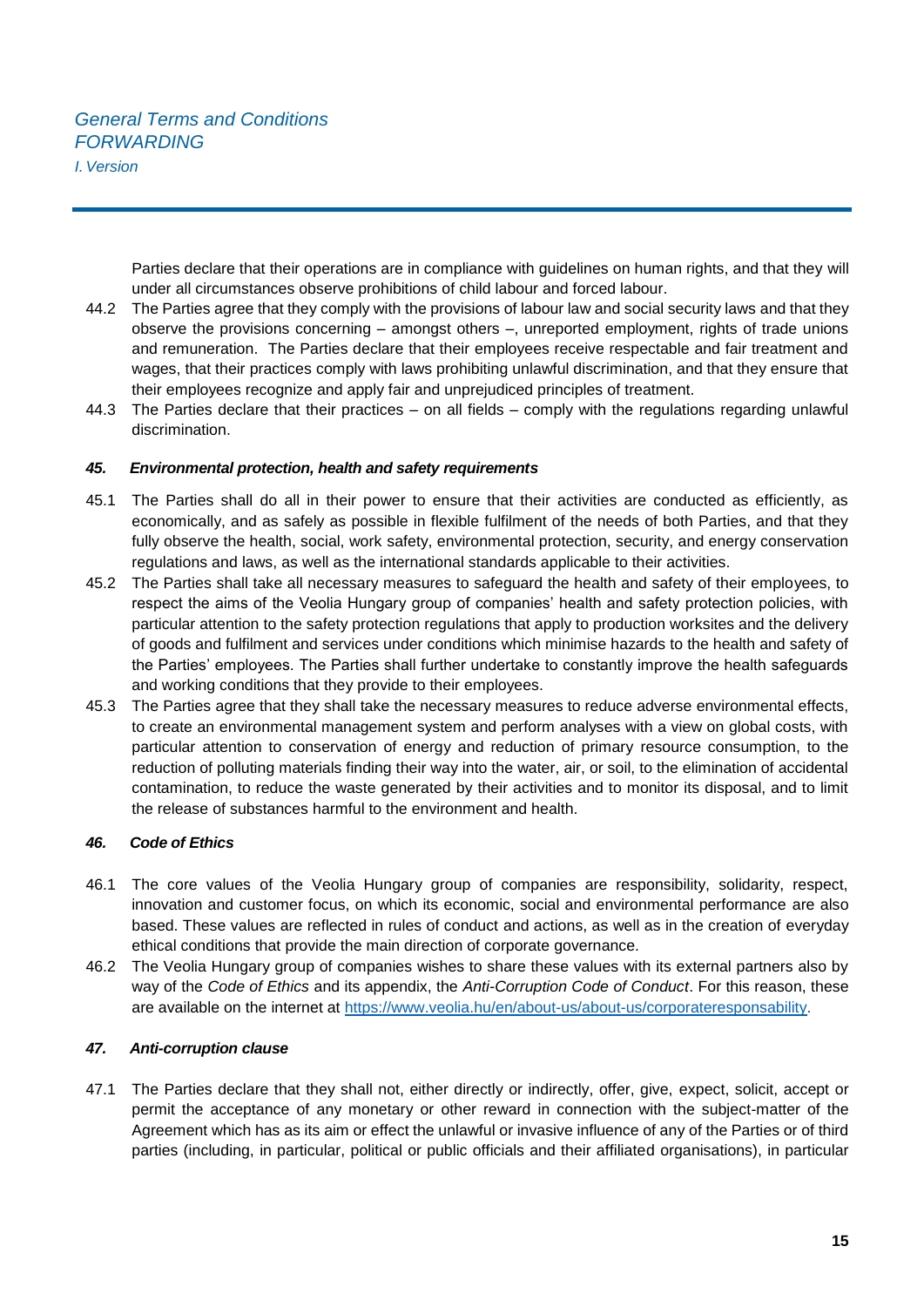*I.Version*

Parties declare that their operations are in compliance with guidelines on human rights, and that they will under all circumstances observe prohibitions of child labour and forced labour.

- 44.2 The Parties agree that they comply with the provisions of labour law and social security laws and that they observe the provisions concerning – amongst others –, unreported employment, rights of trade unions and remuneration. The Parties declare that their employees receive respectable and fair treatment and wages, that their practices comply with laws prohibiting unlawful discrimination, and that they ensure that their employees recognize and apply fair and unprejudiced principles of treatment.
- 44.3 The Parties declare that their practices on all fields comply with the regulations regarding unlawful discrimination.

#### *45. Environmental protection, health and safety requirements*

- 45.1 The Parties shall do all in their power to ensure that their activities are conducted as efficiently, as economically, and as safely as possible in flexible fulfilment of the needs of both Parties, and that they fully observe the health, social, work safety, environmental protection, security, and energy conservation regulations and laws, as well as the international standards applicable to their activities.
- 45.2 The Parties shall take all necessary measures to safeguard the health and safety of their employees, to respect the aims of the Veolia Hungary group of companies' health and safety protection policies, with particular attention to the safety protection regulations that apply to production worksites and the delivery of goods and fulfilment and services under conditions which minimise hazards to the health and safety of the Parties' employees. The Parties shall further undertake to constantly improve the health safeguards and working conditions that they provide to their employees.
- 45.3 The Parties agree that they shall take the necessary measures to reduce adverse environmental effects, to create an environmental management system and perform analyses with a view on global costs, with particular attention to conservation of energy and reduction of primary resource consumption, to the reduction of polluting materials finding their way into the water, air, or soil, to the elimination of accidental contamination, to reduce the waste generated by their activities and to monitor its disposal, and to limit the release of substances harmful to the environment and health.

## *46. Code of Ethics*

- 46.1 The core values of the Veolia Hungary group of companies are responsibility, solidarity, respect, innovation and customer focus, on which its economic, social and environmental performance are also based. These values are reflected in rules of conduct and actions, as well as in the creation of everyday ethical conditions that provide the main direction of corporate governance.
- 46.2 The Veolia Hungary group of companies wishes to share these values with its external partners also by way of the *Code of Ethics* and its appendix, the *Anti-Corruption Code of Conduct*. For this reason, these are available on the internet at [https://www.veolia.hu/en/about-us/about-us/corporateresponsability.](https://www.veolia.hu/en/about-us/about-us/corporateresponsability)

## *47. Anti-corruption clause*

47.1 The Parties declare that they shall not, either directly or indirectly, offer, give, expect, solicit, accept or permit the acceptance of any monetary or other reward in connection with the subject-matter of the Agreement which has as its aim or effect the unlawful or invasive influence of any of the Parties or of third parties (including, in particular, political or public officials and their affiliated organisations), in particular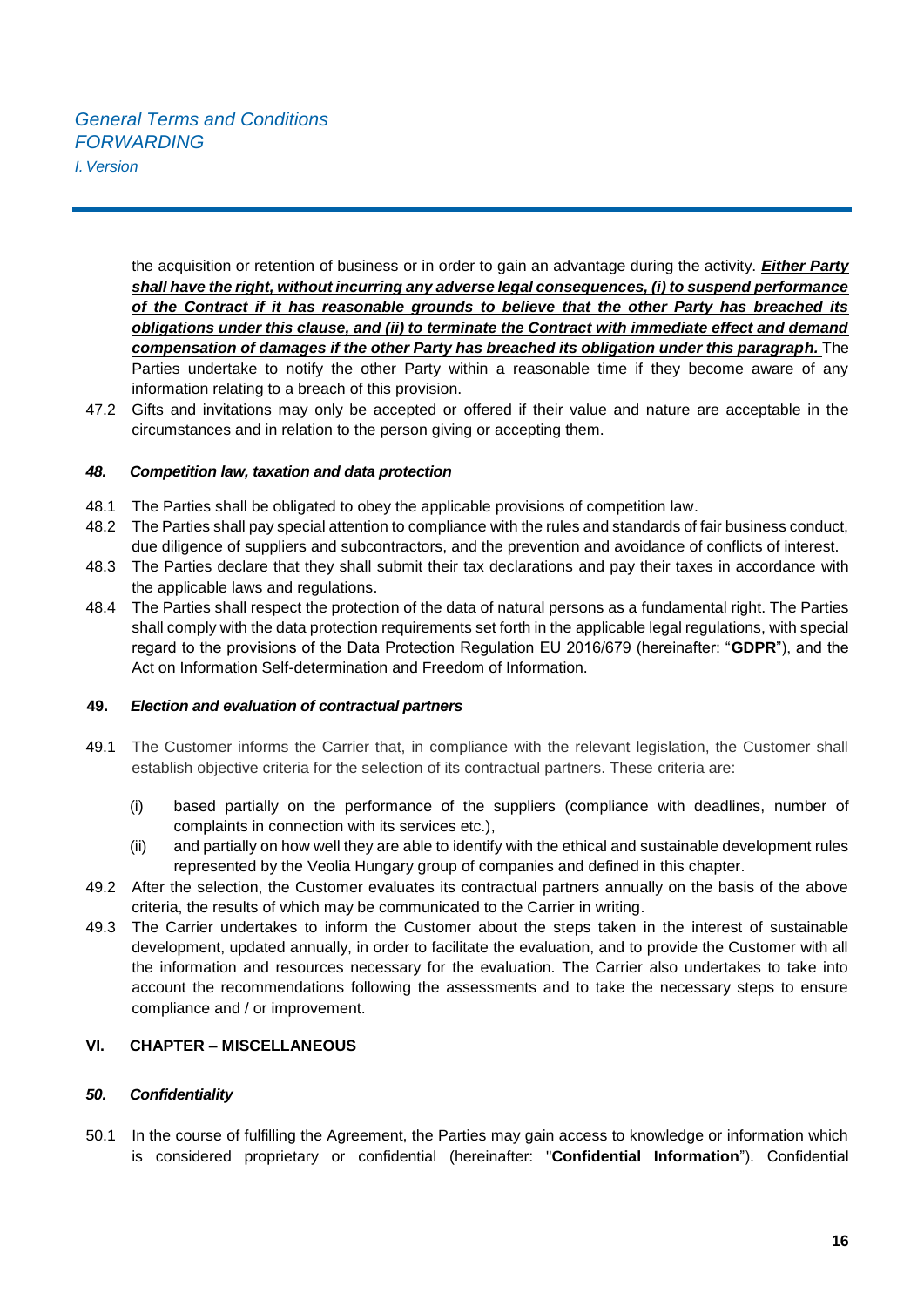*I.Version*

the acquisition or retention of business or in order to gain an advantage during the activity. *Either Party shall have the right, without incurring any adverse legal consequences, (i) to suspend performance of the Contract if it has reasonable grounds to believe that the other Party has breached its obligations under this clause, and (ii) to terminate the Contract with immediate effect and demand compensation of damages if the other Party has breached its obligation under this paragraph.* The Parties undertake to notify the other Party within a reasonable time if they become aware of any information relating to a breach of this provision.

47.2 Gifts and invitations may only be accepted or offered if their value and nature are acceptable in the circumstances and in relation to the person giving or accepting them.

## *48. Competition law, taxation and data protection*

- 48.1 The Parties shall be obligated to obey the applicable provisions of competition law.
- 48.2 The Parties shall pay special attention to compliance with the rules and standards of fair business conduct, due diligence of suppliers and subcontractors, and the prevention and avoidance of conflicts of interest.
- 48.3 The Parties declare that they shall submit their tax declarations and pay their taxes in accordance with the applicable laws and regulations.
- 48.4 The Parties shall respect the protection of the data of natural persons as a fundamental right. The Parties shall comply with the data protection requirements set forth in the applicable legal regulations, with special regard to the provisions of the Data Protection Regulation EU 2016/679 (hereinafter: "**GDPR**"), and the Act on Information Self-determination and Freedom of Information.

## **49.** *Election and evaluation of contractual partners*

- 49.1 The Customer informs the Carrier that, in compliance with the relevant legislation, the Customer shall establish objective criteria for the selection of its contractual partners. These criteria are:
	- (i) based partially on the performance of the suppliers (compliance with deadlines, number of complaints in connection with its services etc.),
	- (ii) and partially on how well they are able to identify with the ethical and sustainable development rules represented by the Veolia Hungary group of companies and defined in this chapter.
- 49.2 After the selection, the Customer evaluates its contractual partners annually on the basis of the above criteria, the results of which may be communicated to the Carrier in writing.
- 49.3 The Carrier undertakes to inform the Customer about the steps taken in the interest of sustainable development, updated annually, in order to facilitate the evaluation, and to provide the Customer with all the information and resources necessary for the evaluation. The Carrier also undertakes to take into account the recommendations following the assessments and to take the necessary steps to ensure compliance and / or improvement.

## **VI. CHAPTER – MISCELLANEOUS**

## *50. Confidentiality*

50.1 In the course of fulfilling the Agreement, the Parties may gain access to knowledge or information which is considered proprietary or confidential (hereinafter: "**Confidential Information**"). Confidential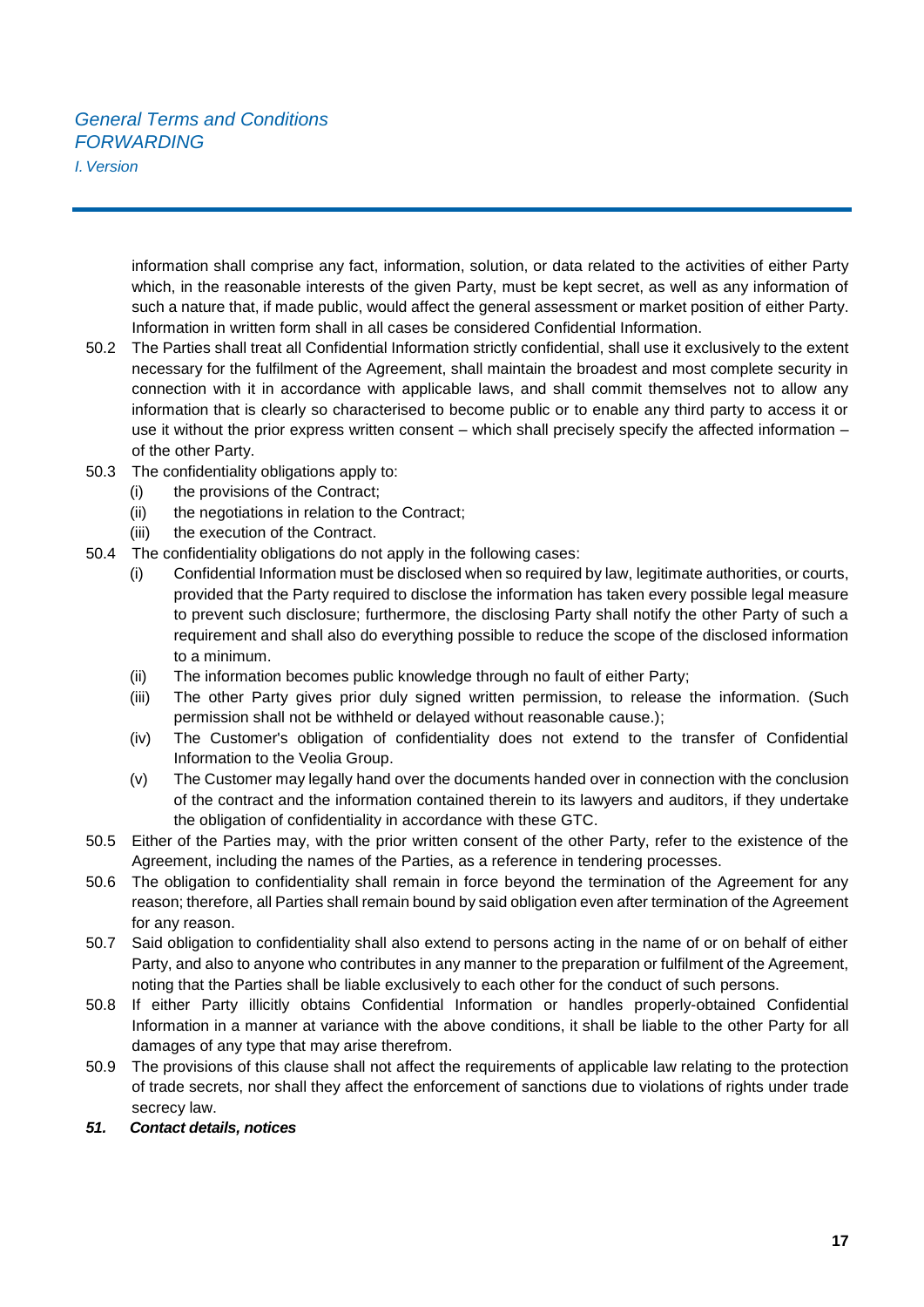*I.Version*

information shall comprise any fact, information, solution, or data related to the activities of either Party which, in the reasonable interests of the given Party, must be kept secret, as well as any information of such a nature that, if made public, would affect the general assessment or market position of either Party. Information in written form shall in all cases be considered Confidential Information.

- 50.2 The Parties shall treat all Confidential Information strictly confidential, shall use it exclusively to the extent necessary for the fulfilment of the Agreement, shall maintain the broadest and most complete security in connection with it in accordance with applicable laws, and shall commit themselves not to allow any information that is clearly so characterised to become public or to enable any third party to access it or use it without the prior express written consent – which shall precisely specify the affected information – of the other Party.
- 50.3 The confidentiality obligations apply to:
	- (i) the provisions of the Contract;
	- (ii) the negotiations in relation to the Contract;
	- (iii) the execution of the Contract.
- 50.4 The confidentiality obligations do not apply in the following cases:
	- (i) Confidential Information must be disclosed when so required by law, legitimate authorities, or courts, provided that the Party required to disclose the information has taken every possible legal measure to prevent such disclosure; furthermore, the disclosing Party shall notify the other Party of such a requirement and shall also do everything possible to reduce the scope of the disclosed information to a minimum.
	- (ii) The information becomes public knowledge through no fault of either Party;
	- (iii) The other Party gives prior duly signed written permission, to release the information. (Such permission shall not be withheld or delayed without reasonable cause.);
	- (iv) The Customer's obligation of confidentiality does not extend to the transfer of Confidential Information to the Veolia Group.
	- (v) The Customer may legally hand over the documents handed over in connection with the conclusion of the contract and the information contained therein to its lawyers and auditors, if they undertake the obligation of confidentiality in accordance with these GTC.
- 50.5 Either of the Parties may, with the prior written consent of the other Party, refer to the existence of the Agreement, including the names of the Parties, as a reference in tendering processes.
- 50.6 The obligation to confidentiality shall remain in force beyond the termination of the Agreement for any reason; therefore, all Parties shall remain bound by said obligation even after termination of the Agreement for any reason.
- 50.7 Said obligation to confidentiality shall also extend to persons acting in the name of or on behalf of either Party, and also to anyone who contributes in any manner to the preparation or fulfilment of the Agreement, noting that the Parties shall be liable exclusively to each other for the conduct of such persons.
- 50.8 If either Party illicitly obtains Confidential Information or handles properly-obtained Confidential Information in a manner at variance with the above conditions, it shall be liable to the other Party for all damages of any type that may arise therefrom.
- 50.9 The provisions of this clause shall not affect the requirements of applicable law relating to the protection of trade secrets, nor shall they affect the enforcement of sanctions due to violations of rights under trade secrecy law.
- *51. Contact details, notices*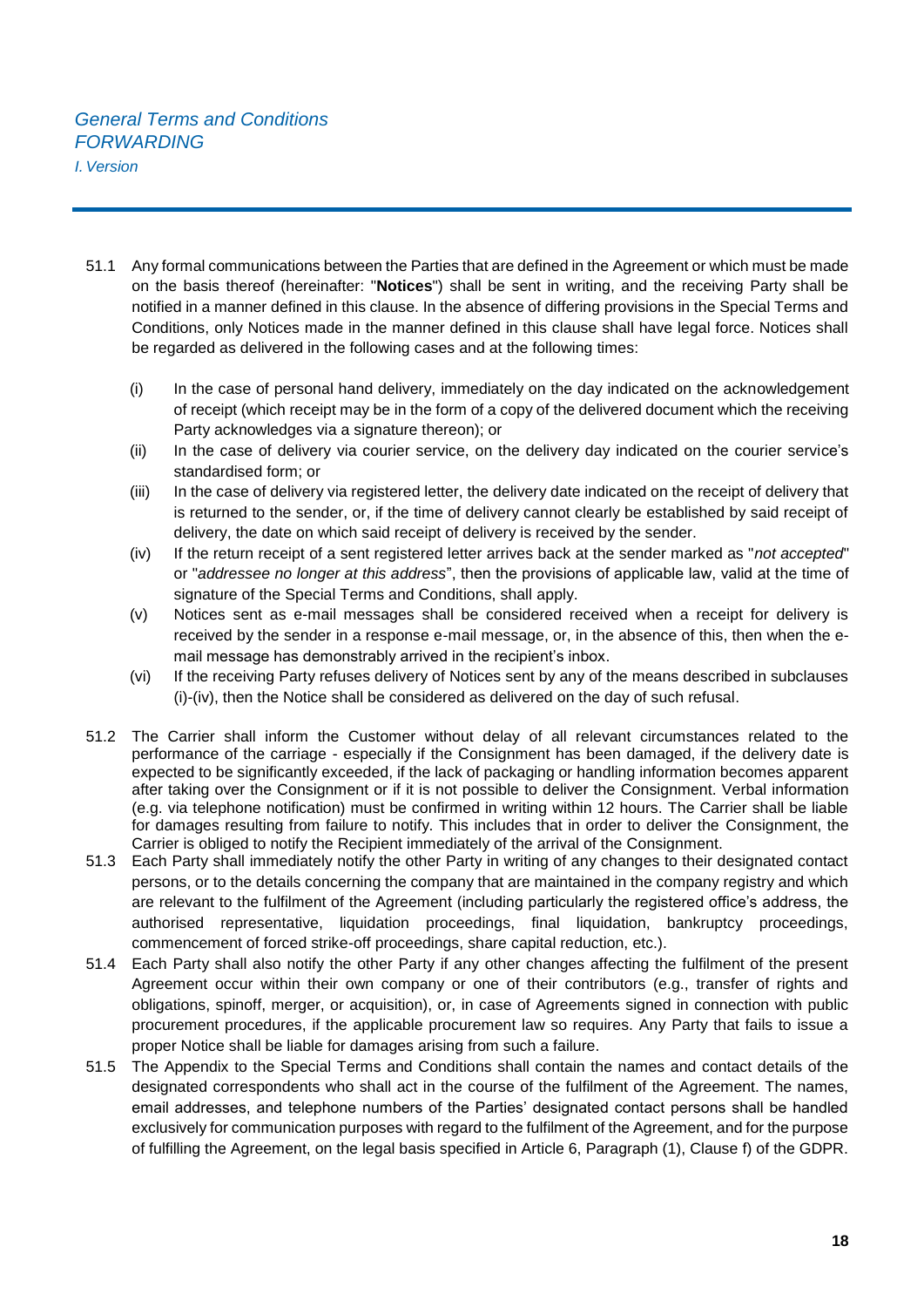- 51.1 Any formal communications between the Parties that are defined in the Agreement or which must be made on the basis thereof (hereinafter: "**Notices**") shall be sent in writing, and the receiving Party shall be notified in a manner defined in this clause. In the absence of differing provisions in the Special Terms and Conditions, only Notices made in the manner defined in this clause shall have legal force. Notices shall be regarded as delivered in the following cases and at the following times:
	- (i) In the case of personal hand delivery, immediately on the day indicated on the acknowledgement of receipt (which receipt may be in the form of a copy of the delivered document which the receiving Party acknowledges via a signature thereon); or
	- (ii) In the case of delivery via courier service, on the delivery day indicated on the courier service's standardised form; or
	- (iii) In the case of delivery via registered letter, the delivery date indicated on the receipt of delivery that is returned to the sender, or, if the time of delivery cannot clearly be established by said receipt of delivery, the date on which said receipt of delivery is received by the sender.
	- (iv) If the return receipt of a sent registered letter arrives back at the sender marked as "*not accepted*" or "*addressee no longer at this address*", then the provisions of applicable law, valid at the time of signature of the Special Terms and Conditions, shall apply.
	- (v) Notices sent as e-mail messages shall be considered received when a receipt for delivery is received by the sender in a response e-mail message, or, in the absence of this, then when the email message has demonstrably arrived in the recipient's inbox.
	- (vi) If the receiving Party refuses delivery of Notices sent by any of the means described in subclauses (i)-(iv), then the Notice shall be considered as delivered on the day of such refusal.
- 51.2 The Carrier shall inform the Customer without delay of all relevant circumstances related to the performance of the carriage - especially if the Consignment has been damaged, if the delivery date is expected to be significantly exceeded, if the lack of packaging or handling information becomes apparent after taking over the Consignment or if it is not possible to deliver the Consignment. Verbal information (e.g. via telephone notification) must be confirmed in writing within 12 hours. The Carrier shall be liable for damages resulting from failure to notify. This includes that in order to deliver the Consignment, the Carrier is obliged to notify the Recipient immediately of the arrival of the Consignment.
- 51.3 Each Party shall immediately notify the other Party in writing of any changes to their designated contact persons, or to the details concerning the company that are maintained in the company registry and which are relevant to the fulfilment of the Agreement (including particularly the registered office's address, the authorised representative, liquidation proceedings, final liquidation, bankruptcy proceedings, commencement of forced strike-off proceedings, share capital reduction, etc.).
- 51.4 Each Party shall also notify the other Party if any other changes affecting the fulfilment of the present Agreement occur within their own company or one of their contributors (e.g., transfer of rights and obligations, spinoff, merger, or acquisition), or, in case of Agreements signed in connection with public procurement procedures, if the applicable procurement law so requires. Any Party that fails to issue a proper Notice shall be liable for damages arising from such a failure.
- 51.5 The Appendix to the Special Terms and Conditions shall contain the names and contact details of the designated correspondents who shall act in the course of the fulfilment of the Agreement. The names, email addresses, and telephone numbers of the Parties' designated contact persons shall be handled exclusively for communication purposes with regard to the fulfilment of the Agreement, and for the purpose of fulfilling the Agreement, on the legal basis specified in Article 6, Paragraph (1), Clause f) of the GDPR.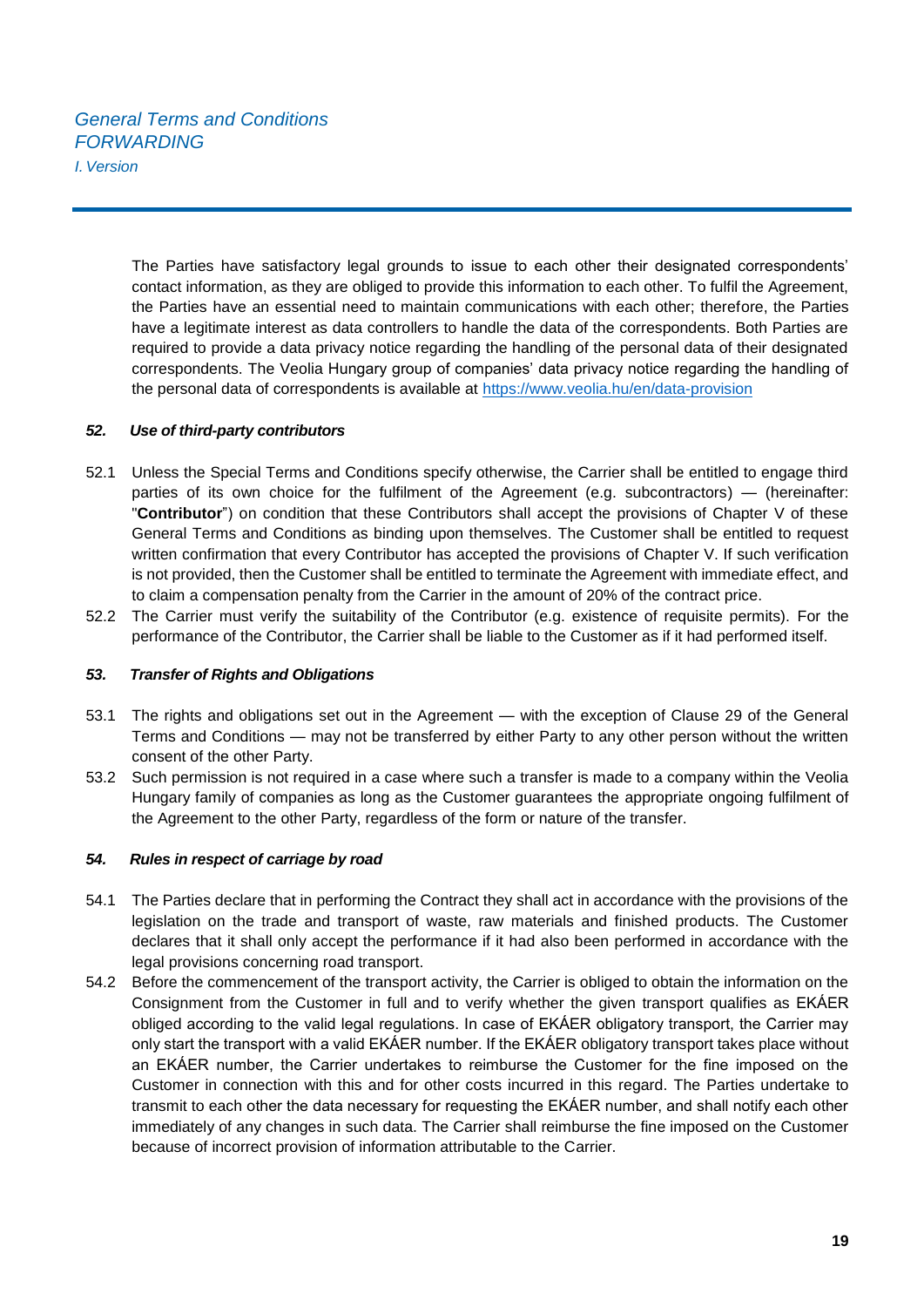The Parties have satisfactory legal grounds to issue to each other their designated correspondents' contact information, as they are obliged to provide this information to each other. To fulfil the Agreement, the Parties have an essential need to maintain communications with each other; therefore, the Parties have a legitimate interest as data controllers to handle the data of the correspondents. Both Parties are required to provide a data privacy notice regarding the handling of the personal data of their designated correspondents. The Veolia Hungary group of companies' data privacy notice regarding the handling of the personal data of correspondents is available at<https://www.veolia.hu/en/data-provision>

## *52. Use of third-party contributors*

- 52.1 Unless the Special Terms and Conditions specify otherwise, the Carrier shall be entitled to engage third parties of its own choice for the fulfilment of the Agreement (e.g. subcontractors) — (hereinafter: "**Contributor**") on condition that these Contributors shall accept the provisions of Chapter V of these General Terms and Conditions as binding upon themselves. The Customer shall be entitled to request written confirmation that every Contributor has accepted the provisions of Chapter V. If such verification is not provided, then the Customer shall be entitled to terminate the Agreement with immediate effect, and to claim a compensation penalty from the Carrier in the amount of 20% of the contract price.
- 52.2 The Carrier must verify the suitability of the Contributor (e.g. existence of requisite permits). For the performance of the Contributor, the Carrier shall be liable to the Customer as if it had performed itself.

## *53. Transfer of Rights and Obligations*

- 53.1 The rights and obligations set out in the Agreement with the exception of Clause 29 of the General Terms and Conditions — may not be transferred by either Party to any other person without the written consent of the other Party.
- 53.2 Such permission is not required in a case where such a transfer is made to a company within the Veolia Hungary family of companies as long as the Customer guarantees the appropriate ongoing fulfilment of the Agreement to the other Party, regardless of the form or nature of the transfer.

## *54. Rules in respect of carriage by road*

- 54.1 The Parties declare that in performing the Contract they shall act in accordance with the provisions of the legislation on the trade and transport of waste, raw materials and finished products. The Customer declares that it shall only accept the performance if it had also been performed in accordance with the legal provisions concerning road transport.
- 54.2 Before the commencement of the transport activity, the Carrier is obliged to obtain the information on the Consignment from the Customer in full and to verify whether the given transport qualifies as EKÁER obliged according to the valid legal regulations. In case of EKÁER obligatory transport, the Carrier may only start the transport with a valid EKÁER number. If the EKÁER obligatory transport takes place without an EKÁER number, the Carrier undertakes to reimburse the Customer for the fine imposed on the Customer in connection with this and for other costs incurred in this regard. The Parties undertake to transmit to each other the data necessary for requesting the EKÁER number, and shall notify each other immediately of any changes in such data. The Carrier shall reimburse the fine imposed on the Customer because of incorrect provision of information attributable to the Carrier.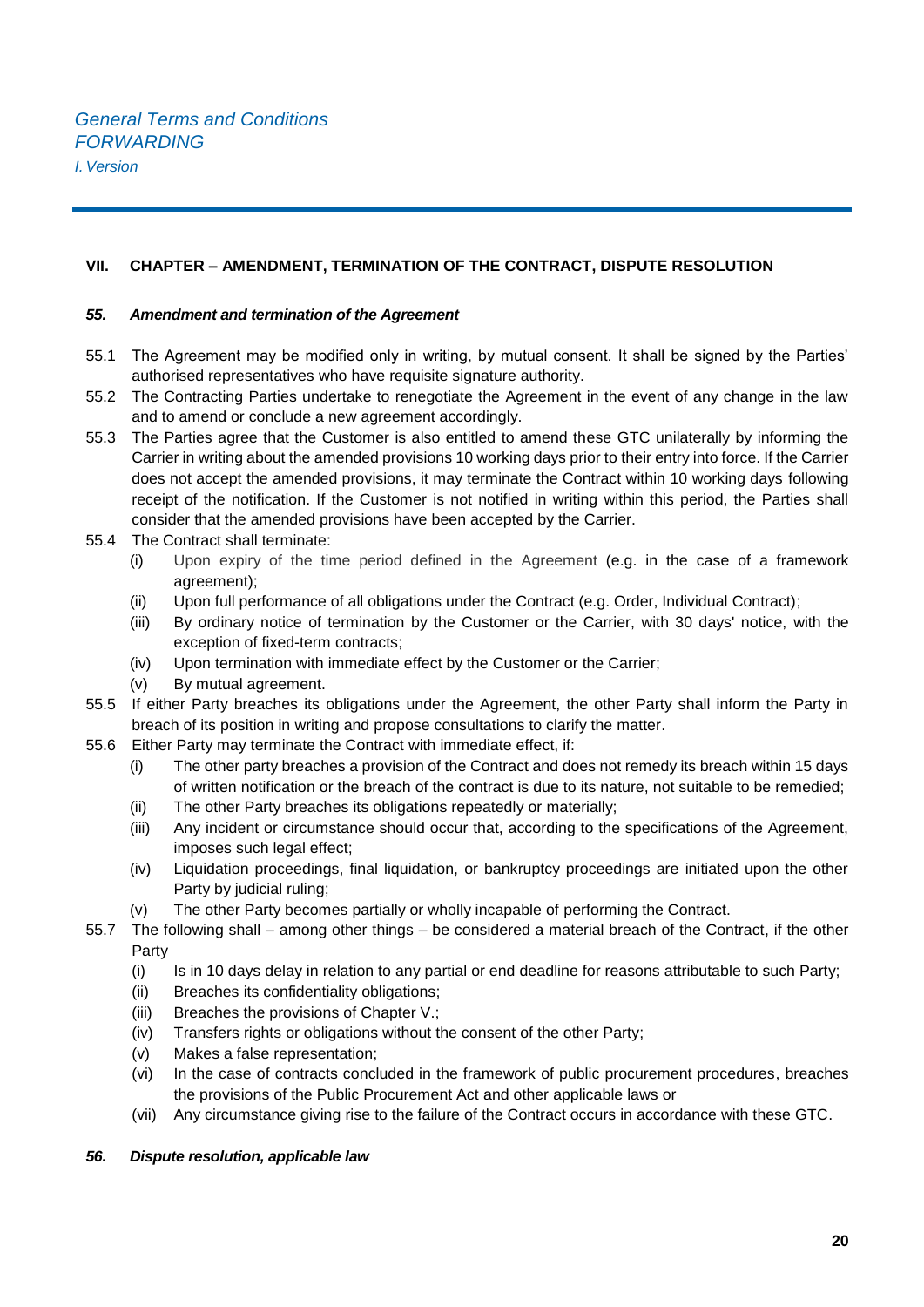## **VII. CHAPTER – AMENDMENT, TERMINATION OF THE CONTRACT, DISPUTE RESOLUTION**

#### *55. Amendment and termination of the Agreement*

- 55.1 The Agreement may be modified only in writing, by mutual consent. It shall be signed by the Parties' authorised representatives who have requisite signature authority.
- 55.2 The Contracting Parties undertake to renegotiate the Agreement in the event of any change in the law and to amend or conclude a new agreement accordingly.
- 55.3 The Parties agree that the Customer is also entitled to amend these GTC unilaterally by informing the Carrier in writing about the amended provisions 10 working days prior to their entry into force. If the Carrier does not accept the amended provisions, it may terminate the Contract within 10 working days following receipt of the notification. If the Customer is not notified in writing within this period, the Parties shall consider that the amended provisions have been accepted by the Carrier.
- 55.4 The Contract shall terminate:
	- (i) Upon expiry of the time period defined in the Agreement (e.g. in the case of a framework agreement);
	- (ii) Upon full performance of all obligations under the Contract (e.g. Order, Individual Contract);
	- (iii) By ordinary notice of termination by the Customer or the Carrier, with 30 days' notice, with the exception of fixed-term contracts;
	- (iv) Upon termination with immediate effect by the Customer or the Carrier;
	- (v) By mutual agreement.
- 55.5 If either Party breaches its obligations under the Agreement, the other Party shall inform the Party in breach of its position in writing and propose consultations to clarify the matter.
- 55.6 Either Party may terminate the Contract with immediate effect, if:
	- (i) The other party breaches a provision of the Contract and does not remedy its breach within 15 days of written notification or the breach of the contract is due to its nature, not suitable to be remedied;
	- (ii) The other Party breaches its obligations repeatedly or materially;
	- (iii) Any incident or circumstance should occur that, according to the specifications of the Agreement, imposes such legal effect:
	- (iv) Liquidation proceedings, final liquidation, or bankruptcy proceedings are initiated upon the other Party by judicial ruling;
	- (v) The other Party becomes partially or wholly incapable of performing the Contract.
- 55.7 The following shall among other things be considered a material breach of the Contract, if the other Party
	- (i) Is in 10 days delay in relation to any partial or end deadline for reasons attributable to such Party;
	- (ii) Breaches its confidentiality obligations;
	- (iii) Breaches the provisions of Chapter V.;
	- (iv) Transfers rights or obligations without the consent of the other Party;
	- (v) Makes a false representation;
	- (vi) In the case of contracts concluded in the framework of public procurement procedures, breaches the provisions of the Public Procurement Act and other applicable laws or
	- (vii) Any circumstance giving rise to the failure of the Contract occurs in accordance with these GTC.

#### *56. Dispute resolution, applicable law*